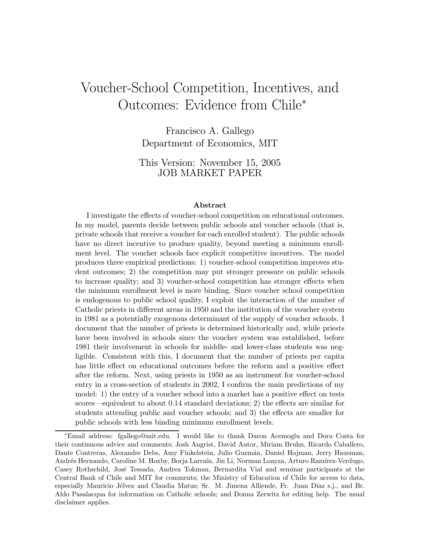# Voucher-School Competition, Incentives, and Outcomes: Evidence from Chile<sup>∗</sup>

Francisco A. Gallego Department of Economics, MIT

This Version: November 15, 2005 JOB MARKET PAPER

#### Abstract

I investigate the effects of voucher-school competition on educational outcomes. In my model, parents decide between public schools and voucher schools (that is, private schools that receive a voucher for each enrolled student). The public schools have no direct incentive to produce quality, beyond meeting a minimum enrollment level. The voucher schools face explicit competitive incentives. The model produces three empirical predictions: 1) voucher-school competition improves student outcomes; 2) the competition may put stronger pressure on public schools to increase quality; and 3) voucher-school competition has stronger effects when the minimum enrollment level is more binding. Since voucher school competition is endogenous to public school quality, I exploit the interaction of the number of Catholic priests in different areas in 1950 and the institution of the voucher system in 1981 as a potentially exogenous determinant of the supply of voucher schools. I document that the number of priests is determined historically and, while priests have been involved in schools since the voucher system was established, before 1981 their involvement in schools for middle- and lower-class students was negligible. Consistent with this, I document that the number of priests per capita has little effect on educational outcomes before the reform and a positive effect after the reform. Next, using priests in 1950 as an instrument for voucher-school entry in a cross-section of students in 2002, I confirm the main predictions of my model: 1) the entry of a voucher school into a market has a positive effect on tests scores–equivalent to about 0.14 standard deviations; 2) the effects are similar for students attending public and voucher schools; and 3) the effects are smaller for public schools with less binding minimum enrollment levels.

<sup>∗</sup>Email address: fgallego@mit.edu. I would like to thank Daron Acemoglu and Dora Costa for their continuous advice and comments; Josh Angrist, David Autor, Miriam Bruhn, Ricardo Caballero, Dante Contreras, Alexandre Debs, Amy Finkelstein, Julio Guzmán, Daniel Hojman, Jerry Hausman, Andrés Hernando, Caroline M. Hoxby, Borja Larraín, Jin Li, Norman Loayza, Arturo Ramírez-Verdugo, Casey Rothschild, Jos´e Tessada, Andrea Tokman, Bernardita Vial and seminar participants at the Central Bank of Chile and MIT for comments; the Ministry of Education of Chile for access to data, especially Mauricio Jélvez and Claudia Matus; Sr. M. Jimena Alliende, Fr. Juan Díaz s.j., and Br. Aldo Pasalacqua for information on Catholic schools; and Donna Zerwitz for editing help. The usual disclaimer applies.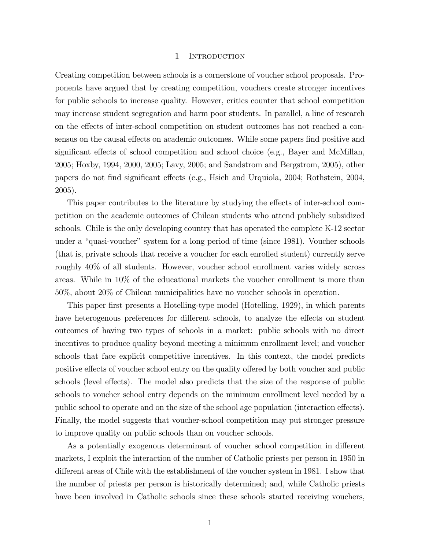#### 1 INTRODUCTION

Creating competition between schools is a cornerstone of voucher school proposals. Proponents have argued that by creating competition, vouchers create stronger incentives for public schools to increase quality. However, critics counter that school competition may increase student segregation and harm poor students. In parallel, a line of research on the effects of inter-school competition on student outcomes has not reached a consensus on the causal effects on academic outcomes. While some papers find positive and significant effects of school competition and school choice (e.g., Bayer and McMillan, 2005; Hoxby, 1994, 2000, 2005; Lavy, 2005; and Sandstrom and Bergstrom, 2005), other papers do not find significant effects (e.g., Hsieh and Urquiola, 2004; Rothstein, 2004, 2005).

This paper contributes to the literature by studying the effects of inter-school competition on the academic outcomes of Chilean students who attend publicly subsidized schools. Chile is the only developing country that has operated the complete K-12 sector under a "quasi-voucher" system for a long period of time (since 1981). Voucher schools (that is, private schools that receive a voucher for each enrolled student) currently serve roughly 40% of all students. However, voucher school enrollment varies widely across areas. While in 10% of the educational markets the voucher enrollment is more than 50%, about 20% of Chilean municipalities have no voucher schools in operation.

This paper first presents a Hotelling-type model (Hotelling, 1929), in which parents have heterogenous preferences for different schools, to analyze the effects on student outcomes of having two types of schools in a market: public schools with no direct incentives to produce quality beyond meeting a minimum enrollment level; and voucher schools that face explicit competitive incentives. In this context, the model predicts positive effects of voucher school entry on the quality offered by both voucher and public schools (level effects). The model also predicts that the size of the response of public schools to voucher school entry depends on the minimum enrollment level needed by a public school to operate and on the size of the school age population (interaction effects). Finally, the model suggests that voucher-school competition may put stronger pressure to improve quality on public schools than on voucher schools.

As a potentially exogenous determinant of voucher school competition in different markets, I exploit the interaction of the number of Catholic priests per person in 1950 in different areas of Chile with the establishment of the voucher system in 1981. I show that the number of priests per person is historically determined; and, while Catholic priests have been involved in Catholic schools since these schools started receiving vouchers,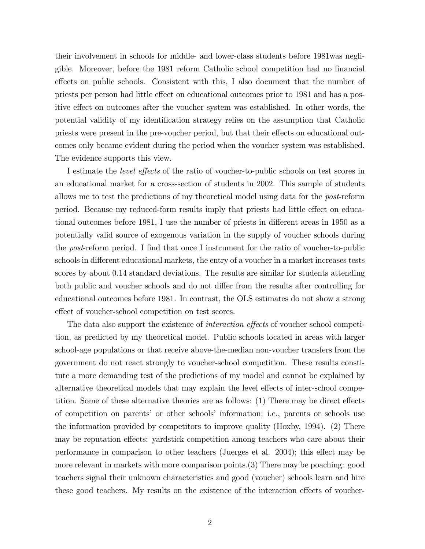their involvement in schools for middle- and lower-class students before 1981was negligible. Moreover, before the 1981 reform Catholic school competition had no financial effects on public schools. Consistent with this, I also document that the number of priests per person had little effect on educational outcomes prior to 1981 and has a positive effect on outcomes after the voucher system was established. In other words, the potential validity of my identification strategy relies on the assumption that Catholic priests were present in the pre-voucher period, but that their effects on educational outcomes only became evident during the period when the voucher system was established. The evidence supports this view.

I estimate the level effects of the ratio of voucher-to-public schools on test scores in an educational market for a cross-section of students in 2002. This sample of students allows me to test the predictions of my theoretical model using data for the post-reform period. Because my reduced-form results imply that priests had little effect on educational outcomes before 1981, I use the number of priests in different areas in 1950 as a potentially valid source of exogenous variation in the supply of voucher schools during the post-reform period. I find that once I instrument for the ratio of voucher-to-public schools in different educational markets, the entry of a voucher in a market increases tests scores by about 0.14 standard deviations. The results are similar for students attending both public and voucher schools and do not differ from the results after controlling for educational outcomes before 1981. In contrast, the OLS estimates do not show a strong effect of voucher-school competition on test scores.

The data also support the existence of interaction effects of voucher school competition, as predicted by my theoretical model. Public schools located in areas with larger school-age populations or that receive above-the-median non-voucher transfers from the government do not react strongly to voucher-school competition. These results constitute a more demanding test of the predictions of my model and cannot be explained by alternative theoretical models that may explain the level effects of inter-school competition. Some of these alternative theories are as follows: (1) There may be direct effects of competition on parents' or other schools' information; i.e., parents or schools use the information provided by competitors to improve quality (Hoxby, 1994). (2) There may be reputation effects: yardstick competition among teachers who care about their performance in comparison to other teachers (Juerges et al. 2004); this effect may be more relevant in markets with more comparison points.(3) There may be poaching: good teachers signal their unknown characteristics and good (voucher) schools learn and hire these good teachers. My results on the existence of the interaction effects of voucher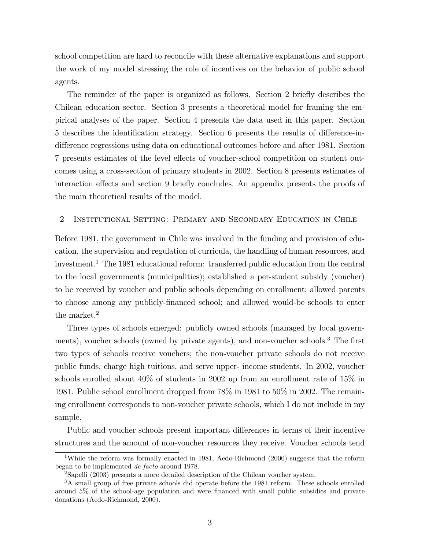school competition are hard to reconcile with these alternative explanations and support the work of my model stressing the role of incentives on the behavior of public school agents.

The reminder of the paper is organized as follows. Section 2 briefly describes the Chilean education sector. Section 3 presents a theoretical model for framing the empirical analyses of the paper. Section 4 presents the data used in this paper. Section 5 describes the identification strategy. Section 6 presents the results of difference-indifference regressions using data on educational outcomes before and after 1981. Section 7 presents estimates of the level effects of voucher-school competition on student outcomes using a cross-section of primary students in 2002. Section 8 presents estimates of interaction effects and section 9 briefly concludes. An appendix presents the proofs of the main theoretical results of the model.

### 2 Institutional Setting: Primary and Secondary Education in Chile

Before 1981, the government in Chile was involved in the funding and provision of education, the supervision and regulation of curricula, the handling of human resources, and investment.<sup>1</sup> The 1981 educational reform: transferred public education from the central to the local governments (municipalities); established a per-student subsidy (voucher) to be received by voucher and public schools depending on enrollment; allowed parents to choose among any publicly-financed school; and allowed would-be schools to enter the market.<sup>2</sup>

Three types of schools emerged: publicly owned schools (managed by local governments), voucher schools (owned by private agents), and non-voucher schools.<sup>3</sup> The first two types of schools receive vouchers; the non-voucher private schools do not receive public funds, charge high tuitions, and serve upper- income students. In 2002, voucher schools enrolled about 40% of students in 2002 up from an enrollment rate of 15% in 1981. Public school enrollment dropped from 78% in 1981 to 50% in 2002. The remaining enrollment corresponds to non-voucher private schools, which I do not include in my sample.

Public and voucher schools present important differences in terms of their incentive structures and the amount of non-voucher resources they receive. Voucher schools tend

<sup>&</sup>lt;sup>1</sup>While the reform was formally enacted in 1981, Aedo-Richmond (2000) suggests that the reform began to be implemented de facto around 1978.

<sup>2</sup>Sapelli (2003) presents a more detailed description of the Chilean voucher system.

<sup>&</sup>lt;sup>3</sup>A small group of free private schools did operate before the 1981 reform. These schools enrolled around 5% of the school-age population and were financed with small public subsidies and private donations (Aedo-Richmond, 2000).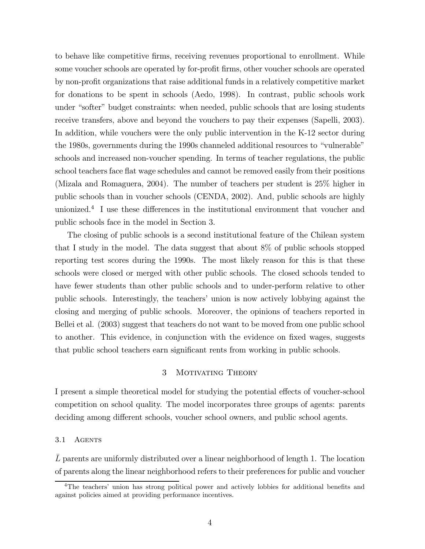to behave like competitive firms, receiving revenues proportional to enrollment. While some voucher schools are operated by for-profit firms, other voucher schools are operated by non-profit organizations that raise additional funds in a relatively competitive market for donations to be spent in schools (Aedo, 1998). In contrast, public schools work under "softer" budget constraints: when needed, public schools that are losing students receive transfers, above and beyond the vouchers to pay their expenses (Sapelli, 2003). In addition, while vouchers were the only public intervention in the K-12 sector during the 1980s, governments during the 1990s channeled additional resources to "vulnerable" schools and increased non-voucher spending. In terms of teacher regulations, the public school teachers face flat wage schedules and cannot be removed easily from their positions (Mizala and Romaguera, 2004). The number of teachers per student is 25% higher in public schools than in voucher schools (CENDA, 2002). And, public schools are highly unionized.<sup>4</sup> I use these differences in the institutional environment that voucher and public schools face in the model in Section 3.

The closing of public schools is a second institutional feature of the Chilean system that I study in the model. The data suggest that about 8% of public schools stopped reporting test scores during the 1990s. The most likely reason for this is that these schools were closed or merged with other public schools. The closed schools tended to have fewer students than other public schools and to under-perform relative to other public schools. Interestingly, the teachers' union is now actively lobbying against the closing and merging of public schools. Moreover, the opinions of teachers reported in Bellei et al. (2003) suggest that teachers do not want to be moved from one public school to another. This evidence, in conjunction with the evidence on fixed wages, suggests that public school teachers earn significant rents from working in public schools.

### 3 MOTIVATING THEORY

I present a simple theoretical model for studying the potential effects of voucher-school competition on school quality. The model incorporates three groups of agents: parents deciding among different schools, voucher school owners, and public school agents.

### 3.1 AGENTS

L parents are uniformly distributed over a linear neighborhood of length 1. The location of parents along the linear neighborhood refers to their preferences for public and voucher

<sup>4</sup>The teachers' union has strong political power and actively lobbies for additional benefits and against policies aimed at providing performance incentives.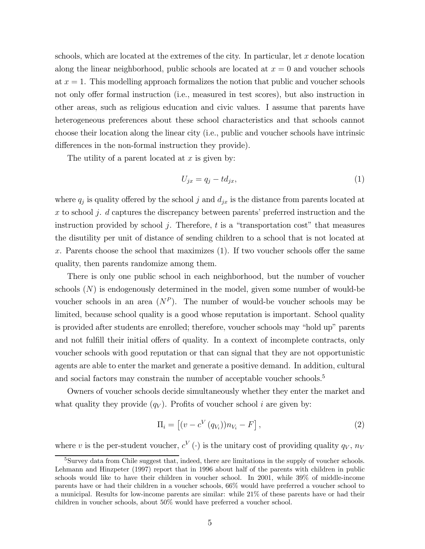schools, which are located at the extremes of the city. In particular, let  $x$  denote location along the linear neighborhood, public schools are located at  $x = 0$  and voucher schools at  $x = 1$ . This modelling approach formalizes the notion that public and voucher schools not only offer formal instruction (i.e., measured in test scores), but also instruction in other areas, such as religious education and civic values. I assume that parents have heterogeneous preferences about these school characteristics and that schools cannot choose their location along the linear city (i.e., public and voucher schools have intrinsic differences in the non-formal instruction they provide).

The utility of a parent located at  $x$  is given by:

$$
U_{jx} = q_j - td_{jx},\tag{1}
$$

where  $q_j$  is quality offered by the school j and  $d_{jx}$  is the distance from parents located at  $x$  to school  $j$ .  $d$  captures the discrepancy between parents' preferred instruction and the instruction provided by school j. Therefore,  $t$  is a "transportation cost" that measures the disutility per unit of distance of sending children to a school that is not located at x. Parents choose the school that maximizes (1). If two voucher schools offer the same quality, then parents randomize among them.

There is only one public school in each neighborhood, but the number of voucher schools  $(N)$  is endogenously determined in the model, given some number of would-be voucher schools in an area  $(N^P)$ . The number of would-be voucher schools may be limited, because school quality is a good whose reputation is important. School quality is provided after students are enrolled; therefore, voucher schools may "hold up" parents and not fulfill their initial offers of quality. In a context of incomplete contracts, only voucher schools with good reputation or that can signal that they are not opportunistic agents are able to enter the market and generate a positive demand. In addition, cultural and social factors may constrain the number of acceptable voucher schools.<sup>5</sup>

Owners of voucher schools decide simultaneously whether they enter the market and what quality they provide  $(q_V)$ . Profits of voucher school *i* are given by:

$$
\Pi_i = \left[ (v - c^V (q_{V_i})) n_{V_i} - F \right], \qquad (2)
$$

where v is the per-student voucher,  $c^V(\cdot)$  is the unitary cost of providing quality  $q_V$ ,  $n_V$ 

<sup>&</sup>lt;sup>5</sup>Survey data from Chile suggest that, indeed, there are limitations in the supply of voucher schools. Lehmann and Hinzpeter (1997) report that in 1996 about half of the parents with children in public schools would like to have their children in voucher school. In 2001, while 39% of middle-income parents have or had their children in a voucher schools, 66% would have preferred a voucher school to a municipal. Results for low-income parents are similar: while 21% of these parents have or had their children in voucher schools, about 50% would have preferred a voucher school.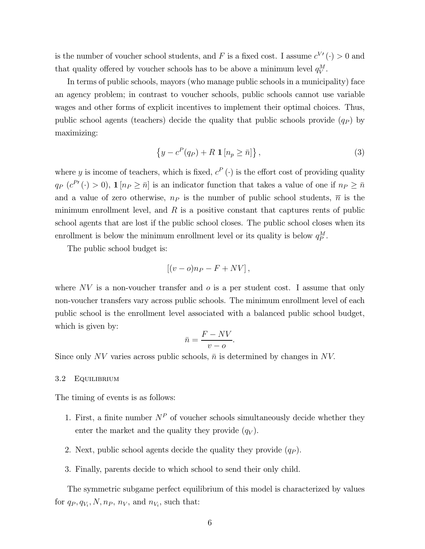is the number of voucher school students, and F is a fixed cost. I assume  $c^{V'}(\cdot) > 0$  and that quality offered by voucher schools has to be above a minimum level  $q_V^M$ .

In terms of public schools, mayors (who manage public schools in a municipality) face an agency problem; in contrast to voucher schools, public schools cannot use variable wages and other forms of explicit incentives to implement their optimal choices. Thus, public school agents (teachers) decide the quality that public schools provide  $(q_P)$  by maximizing:

$$
\left\{y - c^P(q_P) + R \mathbf{1} \left[n_p \geq \bar{n}\right]\right\},\tag{3}
$$

where y is income of teachers, which is fixed,  $c^P(\cdot)$  is the effort cost of providing quality  $q_P$   $(c^{P'}(\cdot) > 0)$ ,  $\mathbf{1}[n_P \geq \bar{n}]$  is an indicator function that takes a value of one if  $n_P \geq \bar{n}$ and a value of zero otherwise,  $n_P$  is the number of public school students,  $\overline{n}$  is the minimum enrollment level, and  $R$  is a positive constant that captures rents of public school agents that are lost if the public school closes. The public school closes when its enrollment is below the minimum enrollment level or its quality is below  $q_P^M$ .

The public school budget is:

$$
[(v-o)n_P - F + NV],
$$

where  $NV$  is a non-voucher transfer and  $o$  is a per student cost. I assume that only non-voucher transfers vary across public schools. The minimum enrollment level of each public school is the enrollment level associated with a balanced public school budget, which is given by:

$$
\bar{n} = \frac{F - NV}{v - o}.
$$

Since only NV varies across public schools,  $\bar{n}$  is determined by changes in NV.

#### 3.2 Equilibrium

The timing of events is as follows:

- 1. First, a finite number  $N^P$  of voucher schools simultaneously decide whether they enter the market and the quality they provide  $(q_V)$ .
- 2. Next, public school agents decide the quality they provide  $(q_P)$ .
- 3. Finally, parents decide to which school to send their only child.

The symmetric subgame perfect equilibrium of this model is characterized by values for  $q_P, q_{V_i}, N, n_P, n_V$ , and  $n_{V_i}$ , such that: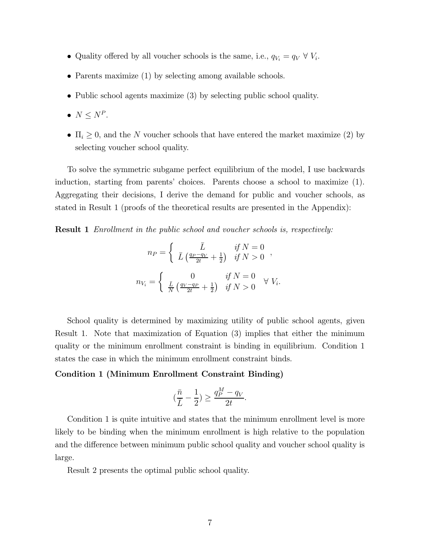- Quality offered by all voucher schools is the same, i.e.,  $q_{V_i} = q_V \forall V_i$ .
- Parents maximize (1) by selecting among available schools.
- Public school agents maximize (3) by selecting public school quality.
- $N \le N^P$ .
- $\Pi_i \geq 0$ , and the N voucher schools that have entered the market maximize (2) by selecting voucher school quality.

To solve the symmetric subgame perfect equilibrium of the model, I use backwards induction, starting from parents' choices. Parents choose a school to maximize (1). Aggregating their decisions, I derive the demand for public and voucher schools, as stated in Result 1 (proofs of the theoretical results are presented in the Appendix):

**Result 1** Enrollment in the public school and voucher schools is, respectively:

$$
n_P = \begin{cases} \bar{L} & \text{if } N = 0 \\ \bar{L} \left( \frac{q_P - q_V}{2t} + \frac{1}{2} \right) & \text{if } N > 0 \end{cases},
$$
  

$$
n_{V_i} = \begin{cases} 0 & \text{if } N = 0 \\ \frac{\bar{L}}{N} \left( \frac{q_V - q_P}{2t} + \frac{1}{2} \right) & \text{if } N > 0 \end{cases} \forall V_i.
$$

School quality is determined by maximizing utility of public school agents, given Result 1. Note that maximization of Equation (3) implies that either the minimum quality or the minimum enrollment constraint is binding in equilibrium. Condition 1 states the case in which the minimum enrollment constraint binds.

### Condition 1 (Minimum Enrollment Constraint Binding)

$$
\big(\frac{\bar{n}}{\bar{L}}-\frac{1}{2}\big)\geq \frac{q_P^M-q_V}{2t}.
$$

Condition 1 is quite intuitive and states that the minimum enrollment level is more likely to be binding when the minimum enrollment is high relative to the population and the difference between minimum public school quality and voucher school quality is large.

Result 2 presents the optimal public school quality.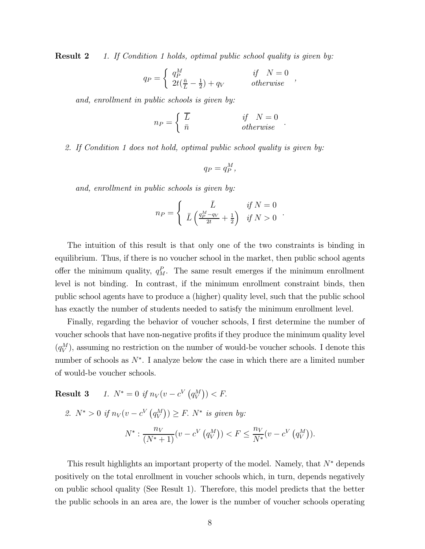**Result 2** 1. If Condition 1 holds, optimal public school quality is given by:

$$
q_P = \begin{cases} q_P^M & \text{if } N = 0\\ 2t(\frac{\bar{n}}{L} - \frac{1}{2}) + q_V & \text{otherwise} \end{cases}
$$

and, enrollment in public schools is given by:

$$
n_P = \begin{cases} \overline{L} & \text{if } N = 0 \\ \bar{n} & \text{otherwise} \end{cases}.
$$

2. If Condition 1 does not hold, optimal public school quality is given by:

$$
q_P = q_P^M,
$$

and, enrollment in public schools is given by:

$$
n_P = \begin{cases} \bar{L} & \text{if } N = 0\\ \bar{L} \left( \frac{q_P^M - q_V}{2t} + \frac{1}{2} \right) & \text{if } N > 0 \end{cases}.
$$

The intuition of this result is that only one of the two constraints is binding in equilibrium. Thus, if there is no voucher school in the market, then public school agents offer the minimum quality,  $q_M^P$ . The same result emerges if the minimum enrollment level is not binding. In contrast, if the minimum enrollment constraint binds, then public school agents have to produce a (higher) quality level, such that the public school has exactly the number of students needed to satisfy the minimum enrollment level.

Finally, regarding the behavior of voucher schools, I first determine the number of voucher schools that have non-negative profits if they produce the minimum quality level  $(q_V^M)$ , assuming no restriction on the number of would-be voucher schools. I denote this number of schools as  $N^*$ . I analyze below the case in which there are a limited number of would-be voucher schools.

**Result 3** 1.  $N^* = 0$  if  $n_V(v - c^V(q_V^M)) < F$ . 2.  $N^* > 0$  if  $n_V(v - c^V(q_V^M)) \ge F$ .  $N^*$  is given by:

$$
N^* : \frac{n_V}{(N^*+1)}(v - c^V(q_V^M)) < F \le \frac{n_V}{N^*}(v - c^V(q_V^M)).
$$

This result highlights an important property of the model. Namely, that  $N^*$  depends positively on the total enrollment in voucher schools which, in turn, depends negatively on public school quality (See Result 1). Therefore, this model predicts that the better the public schools in an area are, the lower is the number of voucher schools operating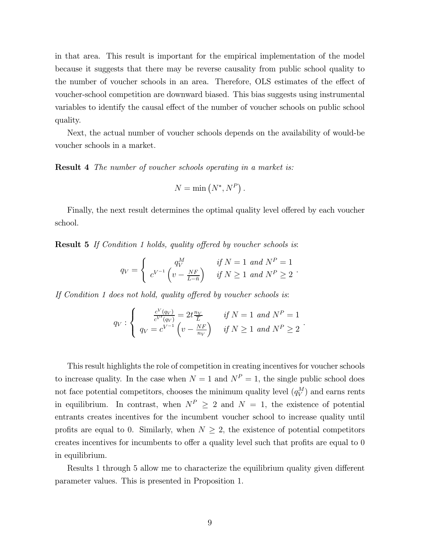in that area. This result is important for the empirical implementation of the model because it suggests that there may be reverse causality from public school quality to the number of voucher schools in an area. Therefore, OLS estimates of the effect of voucher-school competition are downward biased. This bias suggests using instrumental variables to identify the causal effect of the number of voucher schools on public school quality.

Next, the actual number of voucher schools depends on the availability of would-be voucher schools in a market.

**Result 4** The number of voucher schools operating in a market is:

$$
N = \min\left(N^*, N^P\right).
$$

Finally, the next result determines the optimal quality level offered by each voucher school.

**Result 5** If Condition 1 holds, quality offered by voucher schools is:

$$
q_V = \begin{cases} q_V^M & \text{if } N = 1 \text{ and } N^P = 1 \\ c^{V^{-1}} \left( v - \frac{N F}{L - \bar{n}} \right) & \text{if } N \ge 1 \text{ and } N^P \ge 2 \end{cases}.
$$

If Condition 1 does not hold, quality offered by voucher schools is:

$$
q_V: \begin{cases} \frac{c^V(q_V)}{c^{V'}(q_V)} = 2t\frac{n_V}{L} & \text{if } N = 1 \text{ and } N^P = 1\\ q_V = c^{V^{-1}}\left(v - \frac{NF}{n_V}\right) & \text{if } N \ge 1 \text{ and } N^P \ge 2 \end{cases}.
$$

This result highlights the role of competition in creating incentives for voucher schools to increase quality. In the case when  $N = 1$  and  $N^P = 1$ , the single public school does not face potential competitors, chooses the minimum quality level  $(q_V^M)$  and earns rents in equilibrium. In contrast, when  $N^P \geq 2$  and  $N = 1$ , the existence of potential entrants creates incentives for the incumbent voucher school to increase quality until profits are equal to 0. Similarly, when  $N \geq 2$ , the existence of potential competitors creates incentives for incumbents to offer a quality level such that profits are equal to 0 in equilibrium.

Results 1 through 5 allow me to characterize the equilibrium quality given different parameter values. This is presented in Proposition 1.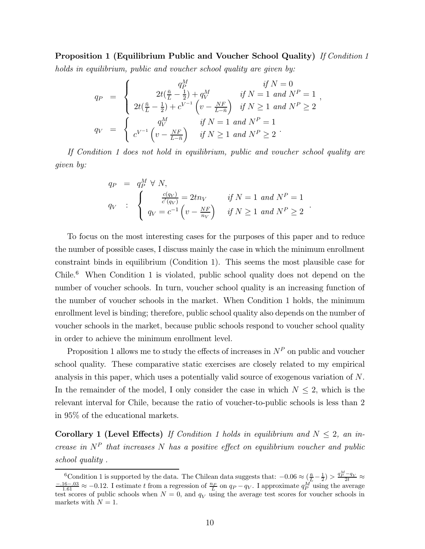Proposition 1 (Equilibrium Public and Voucher School Quality) If Condition 1

holds in equilibrium, public and voucher school quality are given by:

$$
q_P = \begin{cases} q_P^M & \text{if } N = 0\\ 2t(\frac{\bar{n}}{L} - \frac{1}{2}) + q_V^M & \text{if } N = 1 \text{ and } N^P = 1\\ 2t(\frac{\bar{n}}{L} - \frac{1}{2}) + c^{V^{-1}}\left(v - \frac{NF}{L - \bar{n}}\right) & \text{if } N \ge 1 \text{ and } N^P \ge 2 \end{cases},
$$
  

$$
q_V = \begin{cases} q_V^M & \text{if } N = 1 \text{ and } N^P = 1\\ c^{V^{-1}}\left(v - \frac{NF}{L - \bar{n}}\right) & \text{if } N \ge 1 \text{ and } N^P \ge 2 \end{cases}.
$$

If Condition 1 does not hold in equilibrium, public and voucher school quality are given by:

$$
q_P = q_P^M \forall N,
$$
  
\n
$$
q_V : \begin{cases} \frac{c(q_V)}{c'(q_V)} = 2tn_V & \text{if } N = 1 \text{ and } N^P = 1 \\ q_V = c^{-1} \left( v - \frac{NF}{n_V} \right) & \text{if } N \ge 1 \text{ and } N^P \ge 2 \end{cases}.
$$

To focus on the most interesting cases for the purposes of this paper and to reduce the number of possible cases, I discuss mainly the case in which the minimum enrollment constraint binds in equilibrium (Condition 1). This seems the most plausible case for Chile.<sup>6</sup> When Condition 1 is violated, public school quality does not depend on the number of voucher schools. In turn, voucher school quality is an increasing function of the number of voucher schools in the market. When Condition 1 holds, the minimum enrollment level is binding; therefore, public school quality also depends on the number of voucher schools in the market, because public schools respond to voucher school quality in order to achieve the minimum enrollment level.

Proposition 1 allows me to study the effects of increases in  $N^P$  on public and voucher school quality. These comparative static exercises are closely related to my empirical analysis in this paper, which uses a potentially valid source of exogenous variation of N. In the remainder of the model, I only consider the case in which  $N \leq 2$ , which is the relevant interval for Chile, because the ratio of voucher-to-public schools is less than 2 in 95% of the educational markets.

Corollary 1 (Level Effects) If Condition 1 holds in equilibrium and  $N \leq 2$ , an increase in  $N^P$  that increases N has a positive effect on equilibrium voucher and public school quality .

<sup>&</sup>lt;sup>6</sup>Condition 1 is supported by the data. The Chilean data suggests that:  $-0.06 \approx (\frac{\bar{n}}{L} - \frac{1}{2}) > \frac{q_P^M - q_V}{2t} \approx \frac{-0.16 - 0.03}{1.61} \approx -0.12$ . I estimate t from a regression of  $\frac{n_P}{L}$  on  $q_P - q_V$ . I approximate  $q_P^M$ test scores of public schools when  $N = 0$ , and  $q_V$  using the average test scores for voucher schools in markets with  $N = 1$ .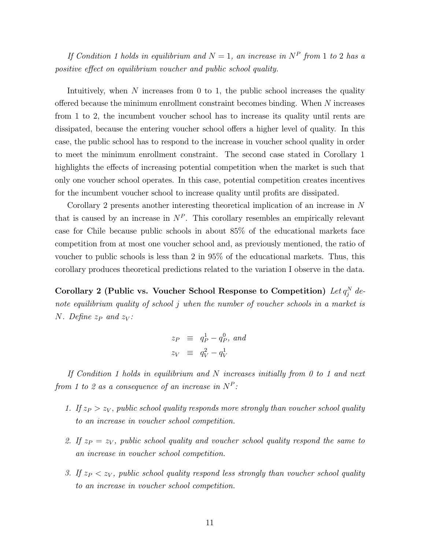If Condition 1 holds in equilibrium and  $N = 1$ , an increase in  $N^P$  from 1 to 2 has a positive effect on equilibrium voucher and public school quality.

Intuitively, when  $N$  increases from 0 to 1, the public school increases the quality offered because the minimum enrollment constraint becomes binding. When N increases from 1 to 2, the incumbent voucher school has to increase its quality until rents are dissipated, because the entering voucher school offers a higher level of quality. In this case, the public school has to respond to the increase in voucher school quality in order to meet the minimum enrollment constraint. The second case stated in Corollary 1 highlights the effects of increasing potential competition when the market is such that only one voucher school operates. In this case, potential competition creates incentives for the incumbent voucher school to increase quality until profits are dissipated.

Corollary 2 presents another interesting theoretical implication of an increase in N that is caused by an increase in  $N<sup>P</sup>$ . This corollary resembles an empirically relevant case for Chile because public schools in about 85% of the educational markets face competition from at most one voucher school and, as previously mentioned, the ratio of voucher to public schools is less than 2 in 95% of the educational markets. Thus, this corollary produces theoretical predictions related to the variation I observe in the data.

Corollary 2 (Public vs. Voucher School Response to Competition)  $\text{Let } q_j^N \text{ de-}$ note equilibrium quality of school j when the number of voucher schools in a market is N. Define  $z_P$  and  $z_V$ :

$$
z_P \equiv q_P^1 - q_P^0, \text{ and}
$$
  

$$
z_V \equiv q_V^2 - q_V^1
$$

If Condition 1 holds in equilibrium and N increases initially from 0 to 1 and next from 1 to 2 as a consequence of an increase in  $N^P$ :

- 1. If  $z_P > z_V$ , public school quality responds more strongly than voucher school quality to an increase in voucher school competition.
- 2. If  $z_P = z_V$ , public school quality and voucher school quality respond the same to an increase in voucher school competition.
- 3. If  $z_P < z_V$ , public school quality respond less strongly than voucher school quality to an increase in voucher school competition.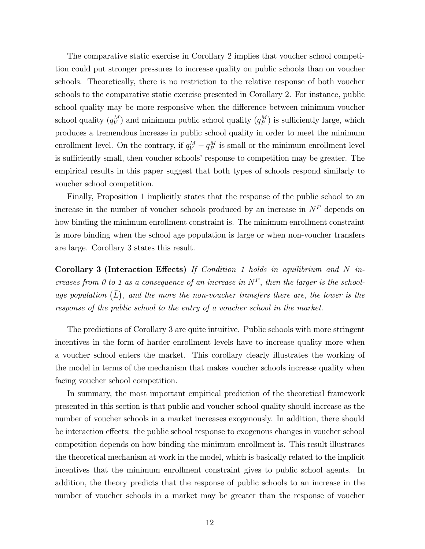The comparative static exercise in Corollary 2 implies that voucher school competition could put stronger pressures to increase quality on public schools than on voucher schools. Theoretically, there is no restriction to the relative response of both voucher schools to the comparative static exercise presented in Corollary 2. For instance, public school quality may be more responsive when the difference between minimum voucher school quality  $(q_V^M)$  and minimum public school quality  $(q_P^M)$  is sufficiently large, which produces a tremendous increase in public school quality in order to meet the minimum enrollment level. On the contrary, if  $q_V^M - q_P^M$  is small or the minimum enrollment level is sufficiently small, then voucher schools' response to competition may be greater. The empirical results in this paper suggest that both types of schools respond similarly to voucher school competition.

Finally, Proposition 1 implicitly states that the response of the public school to an increase in the number of voucher schools produced by an increase in  $N^P$  depends on how binding the minimum enrollment constraint is. The minimum enrollment constraint is more binding when the school age population is large or when non-voucher transfers are large. Corollary 3 states this result.

Corollary 3 (Interaction Effects) If Condition 1 holds in equilibrium and  $N$  increases from 0 to 1 as a consequence of an increase in  $N^P$ , then the larger is the schoolage population  $(\overline{L})$ , and the more the non-voucher transfers there are, the lower is the response of the public school to the entry of a voucher school in the market.

The predictions of Corollary 3 are quite intuitive. Public schools with more stringent incentives in the form of harder enrollment levels have to increase quality more when a voucher school enters the market. This corollary clearly illustrates the working of the model in terms of the mechanism that makes voucher schools increase quality when facing voucher school competition.

In summary, the most important empirical prediction of the theoretical framework presented in this section is that public and voucher school quality should increase as the number of voucher schools in a market increases exogenously. In addition, there should be interaction effects: the public school response to exogenous changes in voucher school competition depends on how binding the minimum enrollment is. This result illustrates the theoretical mechanism at work in the model, which is basically related to the implicit incentives that the minimum enrollment constraint gives to public school agents. In addition, the theory predicts that the response of public schools to an increase in the number of voucher schools in a market may be greater than the response of voucher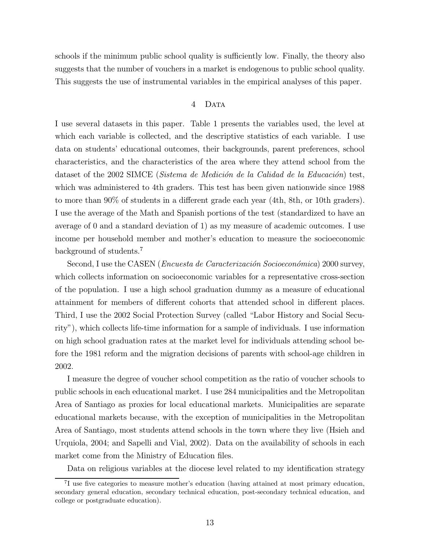schools if the minimum public school quality is sufficiently low. Finally, the theory also suggests that the number of vouchers in a market is endogenous to public school quality. This suggests the use of instrumental variables in the empirical analyses of this paper.

### 4 DATA

I use several datasets in this paper. Table 1 presents the variables used, the level at which each variable is collected, and the descriptive statistics of each variable. I use data on students' educational outcomes, their backgrounds, parent preferences, school characteristics, and the characteristics of the area where they attend school from the dataset of the 2002 SIMCE (Sistema de Medición de la Calidad de la Educación) test, which was administered to 4th graders. This test has been given nationwide since 1988 to more than 90% of students in a different grade each year (4th, 8th, or 10th graders). I use the average of the Math and Spanish portions of the test (standardized to have an average of 0 and a standard deviation of 1) as my measure of academic outcomes. I use income per household member and mother's education to measure the socioeconomic background of students.<sup>7</sup>

Second, I use the CASEN (*Encuesta de Caracterización Socioeconómica*) 2000 survey, which collects information on socioeconomic variables for a representative cross-section of the population. I use a high school graduation dummy as a measure of educational attainment for members of different cohorts that attended school in different places. Third, I use the 2002 Social Protection Survey (called "Labor History and Social Security"), which collects life-time information for a sample of individuals. I use information on high school graduation rates at the market level for individuals attending school before the 1981 reform and the migration decisions of parents with school-age children in 2002.

I measure the degree of voucher school competition as the ratio of voucher schools to public schools in each educational market. I use 284 municipalities and the Metropolitan Area of Santiago as proxies for local educational markets. Municipalities are separate educational markets because, with the exception of municipalities in the Metropolitan Area of Santiago, most students attend schools in the town where they live (Hsieh and Urquiola, 2004; and Sapelli and Vial, 2002). Data on the availability of schools in each market come from the Ministry of Education files.

Data on religious variables at the diocese level related to my identification strategy

<sup>&</sup>lt;sup>7</sup>I use five categories to measure mother's education (having attained at most primary education, secondary general education, secondary technical education, post-secondary technical education, and college or postgraduate education).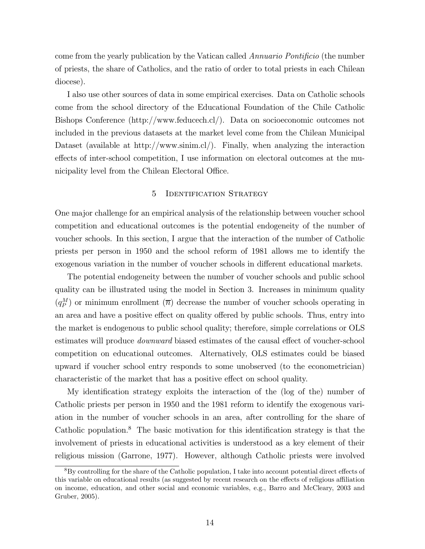come from the yearly publication by the Vatican called Annuario Pontificio (the number of priests, the share of Catholics, and the ratio of order to total priests in each Chilean diocese).

I also use other sources of data in some empirical exercises. Data on Catholic schools come from the school directory of the Educational Foundation of the Chile Catholic Bishops Conference (http://www.feducech.cl/). Data on socioeconomic outcomes not included in the previous datasets at the market level come from the Chilean Municipal Dataset (available at http://www.sinim.cl/). Finally, when analyzing the interaction effects of inter-school competition, I use information on electoral outcomes at the municipality level from the Chilean Electoral Office.

### 5 Identification Strategy

One major challenge for an empirical analysis of the relationship between voucher school competition and educational outcomes is the potential endogeneity of the number of voucher schools. In this section, I argue that the interaction of the number of Catholic priests per person in 1950 and the school reform of 1981 allows me to identify the exogenous variation in the number of voucher schools in different educational markets.

The potential endogeneity between the number of voucher schools and public school quality can be illustrated using the model in Section 3. Increases in minimum quality  $(q_P^M)$  or minimum enrollment  $(\bar{n})$  decrease the number of voucher schools operating in an area and have a positive effect on quality offered by public schools. Thus, entry into the market is endogenous to public school quality; therefore, simple correlations or OLS estimates will produce downward biased estimates of the causal effect of voucher-school competition on educational outcomes. Alternatively, OLS estimates could be biased upward if voucher school entry responds to some unobserved (to the econometrician) characteristic of the market that has a positive effect on school quality.

My identification strategy exploits the interaction of the (log of the) number of Catholic priests per person in 1950 and the 1981 reform to identify the exogenous variation in the number of voucher schools in an area, after controlling for the share of Catholic population.<sup>8</sup> The basic motivation for this identification strategy is that the involvement of priests in educational activities is understood as a key element of their religious mission (Garrone, 1977). However, although Catholic priests were involved

<sup>8</sup>By controlling for the share of the Catholic population, I take into account potential direct effects of this variable on educational results (as suggested by recent research on the effects of religious affiliation on income, education, and other social and economic variables, e.g., Barro and McCleary, 2003 and Gruber, 2005).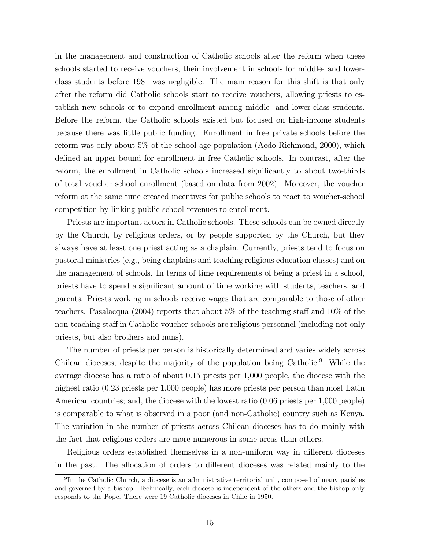in the management and construction of Catholic schools after the reform when these schools started to receive vouchers, their involvement in schools for middle- and lowerclass students before 1981 was negligible. The main reason for this shift is that only after the reform did Catholic schools start to receive vouchers, allowing priests to establish new schools or to expand enrollment among middle- and lower-class students. Before the reform, the Catholic schools existed but focused on high-income students because there was little public funding. Enrollment in free private schools before the reform was only about 5% of the school-age population (Aedo-Richmond, 2000), which defined an upper bound for enrollment in free Catholic schools. In contrast, after the reform, the enrollment in Catholic schools increased significantly to about two-thirds of total voucher school enrollment (based on data from 2002). Moreover, the voucher reform at the same time created incentives for public schools to react to voucher-school competition by linking public school revenues to enrollment.

Priests are important actors in Catholic schools. These schools can be owned directly by the Church, by religious orders, or by people supported by the Church, but they always have at least one priest acting as a chaplain. Currently, priests tend to focus on pastoral ministries (e.g., being chaplains and teaching religious education classes) and on the management of schools. In terms of time requirements of being a priest in a school, priests have to spend a significant amount of time working with students, teachers, and parents. Priests working in schools receive wages that are comparable to those of other teachers. Pasalacqua (2004) reports that about 5% of the teaching staff and 10% of the non-teaching staff in Catholic voucher schools are religious personnel (including not only priests, but also brothers and nuns).

The number of priests per person is historically determined and varies widely across Chilean dioceses, despite the majority of the population being Catholic.<sup>9</sup> While the average diocese has a ratio of about 0.15 priests per 1,000 people, the diocese with the highest ratio (0.23 priests per 1,000 people) has more priests per person than most Latin American countries; and, the diocese with the lowest ratio (0.06 priests per 1,000 people) is comparable to what is observed in a poor (and non-Catholic) country such as Kenya. The variation in the number of priests across Chilean dioceses has to do mainly with the fact that religious orders are more numerous in some areas than others.

Religious orders established themselves in a non-uniform way in different dioceses in the past. The allocation of orders to different dioceses was related mainly to the

 $^{9}$ In the Catholic Church, a diocese is an administrative territorial unit, composed of many parishes and governed by a bishop. Technically, each diocese is independent of the others and the bishop only responds to the Pope. There were 19 Catholic dioceses in Chile in 1950.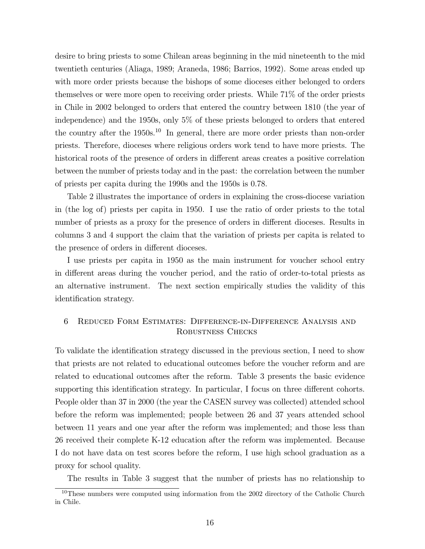desire to bring priests to some Chilean areas beginning in the mid nineteenth to the mid twentieth centuries (Aliaga, 1989; Araneda, 1986; Barrios, 1992). Some areas ended up with more order priests because the bishops of some dioceses either belonged to orders themselves or were more open to receiving order priests. While 71% of the order priests in Chile in 2002 belonged to orders that entered the country between 1810 (the year of independence) and the 1950s, only 5% of these priests belonged to orders that entered the country after the  $1950s^{10}$  In general, there are more order priests than non-order priests. Therefore, dioceses where religious orders work tend to have more priests. The historical roots of the presence of orders in different areas creates a positive correlation between the number of priests today and in the past: the correlation between the number of priests per capita during the 1990s and the 1950s is 0.78.

Table 2 illustrates the importance of orders in explaining the cross-diocese variation in (the log of) priests per capita in 1950. I use the ratio of order priests to the total number of priests as a proxy for the presence of orders in different dioceses. Results in columns 3 and 4 support the claim that the variation of priests per capita is related to the presence of orders in different dioceses.

I use priests per capita in 1950 as the main instrument for voucher school entry in different areas during the voucher period, and the ratio of order-to-total priests as an alternative instrument. The next section empirically studies the validity of this identification strategy.

### 6 Reduced Form Estimates: Difference-in-Difference Analysis and ROBUSTNESS CHECKS

To validate the identification strategy discussed in the previous section, I need to show that priests are not related to educational outcomes before the voucher reform and are related to educational outcomes after the reform. Table 3 presents the basic evidence supporting this identification strategy. In particular, I focus on three different cohorts. People older than 37 in 2000 (the year the CASEN survey was collected) attended school before the reform was implemented; people between 26 and 37 years attended school between 11 years and one year after the reform was implemented; and those less than 26 received their complete K-12 education after the reform was implemented. Because I do not have data on test scores before the reform, I use high school graduation as a proxy for school quality.

The results in Table 3 suggest that the number of priests has no relationship to

<sup>&</sup>lt;sup>10</sup>These numbers were computed using information from the 2002 directory of the Catholic Church in Chile.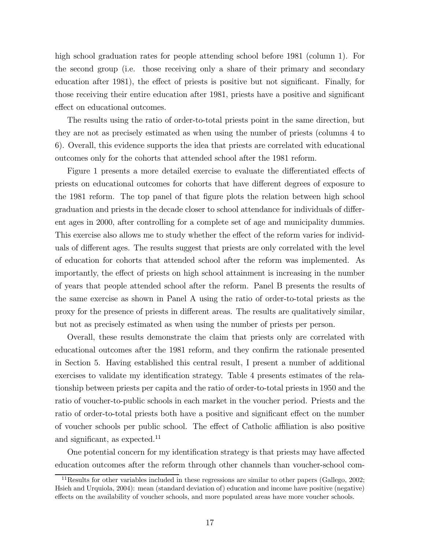high school graduation rates for people attending school before 1981 (column 1). For the second group (i.e. those receiving only a share of their primary and secondary education after 1981), the effect of priests is positive but not significant. Finally, for those receiving their entire education after 1981, priests have a positive and significant effect on educational outcomes.

The results using the ratio of order-to-total priests point in the same direction, but they are not as precisely estimated as when using the number of priests (columns 4 to 6). Overall, this evidence supports the idea that priests are correlated with educational outcomes only for the cohorts that attended school after the 1981 reform.

Figure 1 presents a more detailed exercise to evaluate the differentiated effects of priests on educational outcomes for cohorts that have different degrees of exposure to the 1981 reform. The top panel of that figure plots the relation between high school graduation and priests in the decade closer to school attendance for individuals of different ages in 2000, after controlling for a complete set of age and municipality dummies. This exercise also allows me to study whether the effect of the reform varies for individuals of different ages. The results suggest that priests are only correlated with the level of education for cohorts that attended school after the reform was implemented. As importantly, the effect of priests on high school attainment is increasing in the number of years that people attended school after the reform. Panel B presents the results of the same exercise as shown in Panel A using the ratio of order-to-total priests as the proxy for the presence of priests in different areas. The results are qualitatively similar, but not as precisely estimated as when using the number of priests per person.

Overall, these results demonstrate the claim that priests only are correlated with educational outcomes after the 1981 reform, and they confirm the rationale presented in Section 5. Having established this central result, I present a number of additional exercises to validate my identification strategy. Table 4 presents estimates of the relationship between priests per capita and the ratio of order-to-total priests in 1950 and the ratio of voucher-to-public schools in each market in the voucher period. Priests and the ratio of order-to-total priests both have a positive and significant effect on the number of voucher schools per public school. The effect of Catholic affiliation is also positive and significant, as expected.<sup>11</sup>

One potential concern for my identification strategy is that priests may have affected education outcomes after the reform through other channels than voucher-school com-

 $11$ Results for other variables included in these regressions are similar to other papers (Gallego, 2002; Hsieh and Urquiola, 2004): mean (standard deviation of) education and income have positive (negative) effects on the availability of voucher schools, and more populated areas have more voucher schools.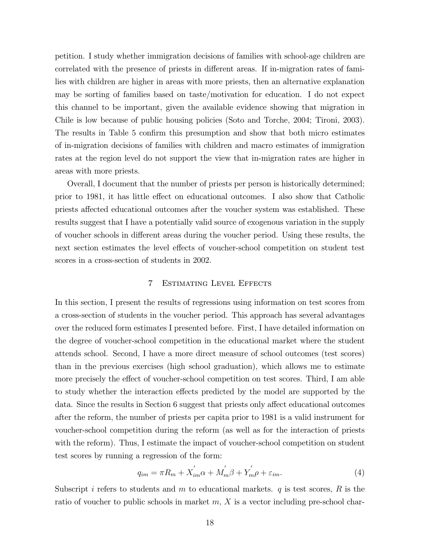petition. I study whether immigration decisions of families with school-age children are correlated with the presence of priests in different areas. If in-migration rates of families with children are higher in areas with more priests, then an alternative explanation may be sorting of families based on taste/motivation for education. I do not expect this channel to be important, given the available evidence showing that migration in Chile is low because of public housing policies (Soto and Torche, 2004; Tironi, 2003). The results in Table 5 confirm this presumption and show that both micro estimates of in-migration decisions of families with children and macro estimates of immigration rates at the region level do not support the view that in-migration rates are higher in areas with more priests.

Overall, I document that the number of priests per person is historically determined; prior to 1981, it has little effect on educational outcomes. I also show that Catholic priests affected educational outcomes after the voucher system was established. These results suggest that I have a potentially valid source of exogenous variation in the supply of voucher schools in different areas during the voucher period. Using these results, the next section estimates the level effects of voucher-school competition on student test scores in a cross-section of students in 2002.

### 7 Estimating Level Effects

In this section, I present the results of regressions using information on test scores from a cross-section of students in the voucher period. This approach has several advantages over the reduced form estimates I presented before. First, I have detailed information on the degree of voucher-school competition in the educational market where the student attends school. Second, I have a more direct measure of school outcomes (test scores) than in the previous exercises (high school graduation), which allows me to estimate more precisely the effect of voucher-school competition on test scores. Third, I am able to study whether the interaction effects predicted by the model are supported by the data. Since the results in Section 6 suggest that priests only affect educational outcomes after the reform, the number of priests per capita prior to 1981 is a valid instrument for voucher-school competition during the reform (as well as for the interaction of priests with the reform). Thus, I estimate the impact of voucher-school competition on student test scores by running a regression of the form:

$$
q_{im} = \pi R_m + X^{'}_{im}\alpha + M^{'}_{m}\beta + Y^{'}_{m}\rho + \varepsilon_{im}.
$$
\n(4)

Subscript i refers to students and  $m$  to educational markets.  $q$  is test scores,  $R$  is the ratio of voucher to public schools in market  $m, X$  is a vector including pre-school char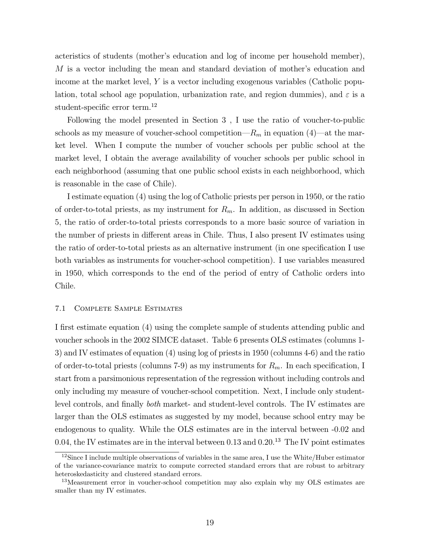acteristics of students (mother's education and log of income per household member), M is a vector including the mean and standard deviation of mother's education and income at the market level,  $Y$  is a vector including exogenous variables (Catholic population, total school age population, urbanization rate, and region dummies), and  $\varepsilon$  is a student-specific error term.<sup>12</sup>

Following the model presented in Section 3 , I use the ratio of voucher-to-public schools as my measure of voucher-school competition— $R_m$  in equation (4)—at the market level. When I compute the number of voucher schools per public school at the market level, I obtain the average availability of voucher schools per public school in each neighborhood (assuming that one public school exists in each neighborhood, which is reasonable in the case of Chile).

I estimate equation (4) using the log of Catholic priests per person in 1950, or the ratio of order-to-total priests, as my instrument for  $R_m$ . In addition, as discussed in Section 5, the ratio of order-to-total priests corresponds to a more basic source of variation in the number of priests in different areas in Chile. Thus, I also present IV estimates using the ratio of order-to-total priests as an alternative instrument (in one specification I use both variables as instruments for voucher-school competition). I use variables measured in 1950, which corresponds to the end of the period of entry of Catholic orders into Chile.

### 7.1 Complete Sample Estimates

I first estimate equation (4) using the complete sample of students attending public and voucher schools in the 2002 SIMCE dataset. Table 6 presents OLS estimates (columns 1- 3) and IV estimates of equation (4) using log of priests in 1950 (columns 4-6) and the ratio of order-to-total priests (columns 7-9) as my instruments for  $R_m$ . In each specification, I start from a parsimonious representation of the regression without including controls and only including my measure of voucher-school competition. Next, I include only studentlevel controls, and finally both market- and student-level controls. The IV estimates are larger than the OLS estimates as suggested by my model, because school entry may be endogenous to quality. While the OLS estimates are in the interval between -0.02 and 0.04, the IV estimates are in the interval between 0.13 and  $0.20^{13}$  The IV point estimates

 $12$ Since I include multiple observations of variables in the same area, I use the White/Huber estimator of the variance-covariance matrix to compute corrected standard errors that are robust to arbitrary heteroskedasticity and clustered standard errors.

<sup>&</sup>lt;sup>13</sup>Measurement error in voucher-school competition may also explain why my OLS estimates are smaller than my IV estimates.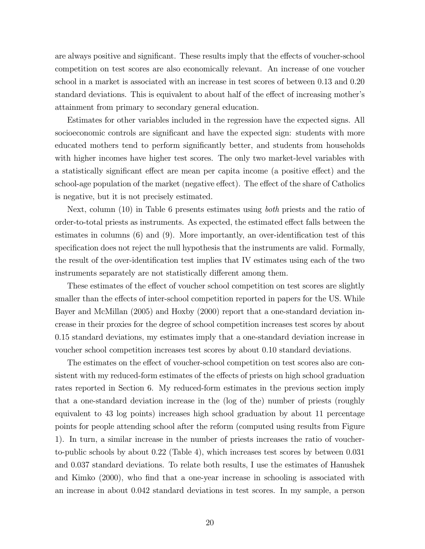are always positive and significant. These results imply that the effects of voucher-school competition on test scores are also economically relevant. An increase of one voucher school in a market is associated with an increase in test scores of between 0.13 and 0.20 standard deviations. This is equivalent to about half of the effect of increasing mother's attainment from primary to secondary general education.

Estimates for other variables included in the regression have the expected signs. All socioeconomic controls are significant and have the expected sign: students with more educated mothers tend to perform significantly better, and students from households with higher incomes have higher test scores. The only two market-level variables with a statistically significant effect are mean per capita income (a positive effect) and the school-age population of the market (negative effect). The effect of the share of Catholics is negative, but it is not precisely estimated.

Next, column (10) in Table 6 presents estimates using both priests and the ratio of order-to-total priests as instruments. As expected, the estimated effect falls between the estimates in columns (6) and (9). More importantly, an over-identification test of this specification does not reject the null hypothesis that the instruments are valid. Formally, the result of the over-identification test implies that IV estimates using each of the two instruments separately are not statistically different among them.

These estimates of the effect of voucher school competition on test scores are slightly smaller than the effects of inter-school competition reported in papers for the US. While Bayer and McMillan (2005) and Hoxby (2000) report that a one-standard deviation increase in their proxies for the degree of school competition increases test scores by about 0.15 standard deviations, my estimates imply that a one-standard deviation increase in voucher school competition increases test scores by about 0.10 standard deviations.

The estimates on the effect of voucher-school competition on test scores also are consistent with my reduced-form estimates of the effects of priests on high school graduation rates reported in Section 6. My reduced-form estimates in the previous section imply that a one-standard deviation increase in the (log of the) number of priests (roughly equivalent to 43 log points) increases high school graduation by about 11 percentage points for people attending school after the reform (computed using results from Figure 1). In turn, a similar increase in the number of priests increases the ratio of voucherto-public schools by about 0.22 (Table 4), which increases test scores by between 0.031 and 0.037 standard deviations. To relate both results, I use the estimates of Hanushek and Kimko (2000), who find that a one-year increase in schooling is associated with an increase in about 0.042 standard deviations in test scores. In my sample, a person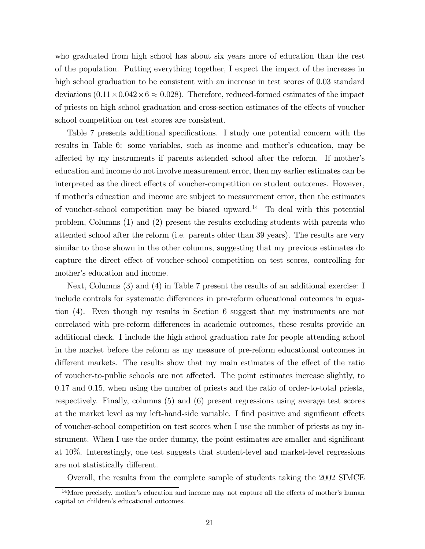who graduated from high school has about six years more of education than the rest of the population. Putting everything together, I expect the impact of the increase in high school graduation to be consistent with an increase in test scores of 0.03 standard deviations  $(0.11 \times 0.042 \times 6 \approx 0.028)$ . Therefore, reduced-formed estimates of the impact of priests on high school graduation and cross-section estimates of the effects of voucher school competition on test scores are consistent.

Table 7 presents additional specifications. I study one potential concern with the results in Table 6: some variables, such as income and mother's education, may be affected by my instruments if parents attended school after the reform. If mother's education and income do not involve measurement error, then my earlier estimates can be interpreted as the direct effects of voucher-competition on student outcomes. However, if mother's education and income are subject to measurement error, then the estimates of voucher-school competition may be biased upward.<sup>14</sup> To deal with this potential problem, Columns (1) and (2) present the results excluding students with parents who attended school after the reform (i.e. parents older than 39 years). The results are very similar to those shown in the other columns, suggesting that my previous estimates do capture the direct effect of voucher-school competition on test scores, controlling for mother's education and income.

Next, Columns (3) and (4) in Table 7 present the results of an additional exercise: I include controls for systematic differences in pre-reform educational outcomes in equation (4). Even though my results in Section 6 suggest that my instruments are not correlated with pre-reform differences in academic outcomes, these results provide an additional check. I include the high school graduation rate for people attending school in the market before the reform as my measure of pre-reform educational outcomes in different markets. The results show that my main estimates of the effect of the ratio of voucher-to-public schools are not affected. The point estimates increase slightly, to 0.17 and 0.15, when using the number of priests and the ratio of order-to-total priests, respectively. Finally, columns (5) and (6) present regressions using average test scores at the market level as my left-hand-side variable. I find positive and significant effects of voucher-school competition on test scores when I use the number of priests as my instrument. When I use the order dummy, the point estimates are smaller and significant at 10%. Interestingly, one test suggests that student-level and market-level regressions are not statistically different.

Overall, the results from the complete sample of students taking the 2002 SIMCE

<sup>&</sup>lt;sup>14</sup>More precisely, mother's education and income may not capture all the effects of mother's human capital on children's educational outcomes.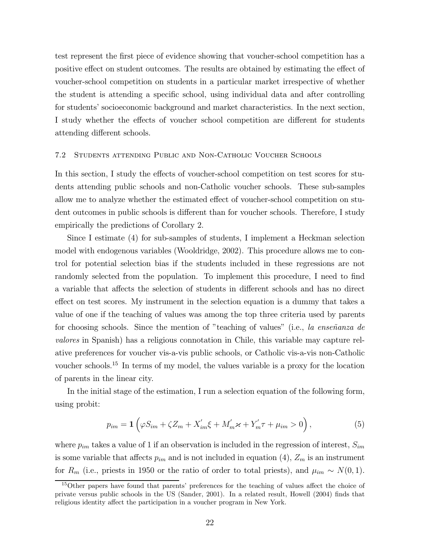test represent the first piece of evidence showing that voucher-school competition has a positive effect on student outcomes. The results are obtained by estimating the effect of voucher-school competition on students in a particular market irrespective of whether the student is attending a specific school, using individual data and after controlling for students' socioeconomic background and market characteristics. In the next section, I study whether the effects of voucher school competition are different for students attending different schools.

#### 7.2 Students attending Public and Non-Catholic Voucher Schools

In this section, I study the effects of voucher-school competition on test scores for students attending public schools and non-Catholic voucher schools. These sub-samples allow me to analyze whether the estimated effect of voucher-school competition on student outcomes in public schools is different than for voucher schools. Therefore, I study empirically the predictions of Corollary 2.

Since I estimate (4) for sub-samples of students, I implement a Heckman selection model with endogenous variables (Wooldridge, 2002). This procedure allows me to control for potential selection bias if the students included in these regressions are not randomly selected from the population. To implement this procedure, I need to find a variable that affects the selection of students in different schools and has no direct effect on test scores. My instrument in the selection equation is a dummy that takes a value of one if the teaching of values was among the top three criteria used by parents for choosing schools. Since the mention of "teaching of values" (i.e., la enseñanza de valores in Spanish) has a religious connotation in Chile, this variable may capture relative preferences for voucher vis-a-vis public schools, or Catholic vis-a-vis non-Catholic voucher schools.<sup>15</sup> In terms of my model, the values variable is a proxy for the location of parents in the linear city.

In the initial stage of the estimation, I run a selection equation of the following form, using probit:

$$
p_{im} = \mathbf{1} \left( \varphi S_{im} + \zeta Z_m + X'_{im} \xi + M'_m \varkappa + Y'_m \tau + \mu_{im} > 0 \right), \tag{5}
$$

where  $p_{im}$  takes a value of 1 if an observation is included in the regression of interest,  $S_{im}$ is some variable that affects  $p_{im}$  and is not included in equation (4),  $Z_m$  is an instrument for  $R_m$  (i.e., priests in 1950 or the ratio of order to total priests), and  $\mu_{im} \sim N(0, 1)$ .

<sup>15</sup>Other papers have found that parents' preferences for the teaching of values affect the choice of private versus public schools in the US (Sander, 2001). In a related result, Howell (2004) finds that religious identity affect the participation in a voucher program in New York.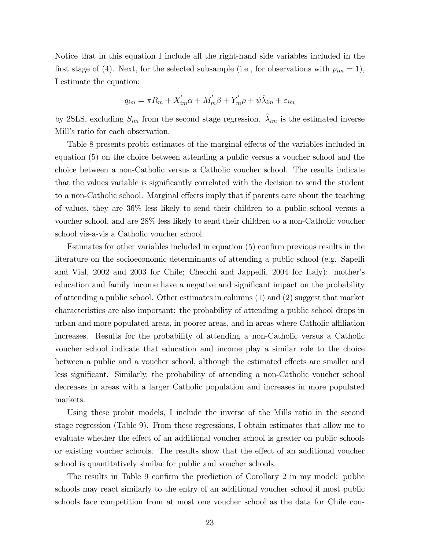Notice that in this equation I include all the right-hand side variables included in the first stage of (4). Next, for the selected subsample (i.e., for observations with  $p_{im} = 1$ ), I estimate the equation:

$$
q_{im} = \pi R_m + X'_{im} \alpha + M'_m \beta + Y'_m \rho + \psi \hat{\lambda}_{im} + \varepsilon_{im}
$$

by 2SLS, excluding  $S_{im}$  from the second stage regression.  $\hat{\lambda}_{im}$  is the estimated inverse Mill's ratio for each observation.

Table 8 presents probit estimates of the marginal effects of the variables included in equation (5) on the choice between attending a public versus a voucher school and the choice between a non-Catholic versus a Catholic voucher school. The results indicate that the values variable is significantly correlated with the decision to send the student to a non-Catholic school. Marginal effects imply that if parents care about the teaching of values, they are 36% less likely to send their children to a public school versus a voucher school, and are 28% less likely to send their children to a non-Catholic voucher school vis-a-vis a Catholic voucher school.

Estimates for other variables included in equation (5) confirm previous results in the literature on the socioeconomic determinants of attending a public school (e.g. Sapelli and Vial, 2002 and 2003 for Chile; Checchi and Jappelli, 2004 for Italy): mother's education and family income have a negative and significant impact on the probability of attending a public school. Other estimates in columns (1) and (2) suggest that market characteristics are also important: the probability of attending a public school drops in urban and more populated areas, in poorer areas, and in areas where Catholic affiliation increases. Results for the probability of attending a non-Catholic versus a Catholic voucher school indicate that education and income play a similar role to the choice between a public and a voucher school, although the estimated effects are smaller and less significant. Similarly, the probability of attending a non-Catholic voucher school decreases in areas with a larger Catholic population and increases in more populated markets.

Using these probit models, I include the inverse of the Mills ratio in the second stage regression (Table 9). From these regressions, I obtain estimates that allow me to evaluate whether the effect of an additional voucher school is greater on public schools or existing voucher schools. The results show that the effect of an additional voucher school is quantitatively similar for public and voucher schools.

The results in Table 9 confirm the prediction of Corollary 2 in my model: public schools may react similarly to the entry of an additional voucher school if most public schools face competition from at most one voucher school as the data for Chile con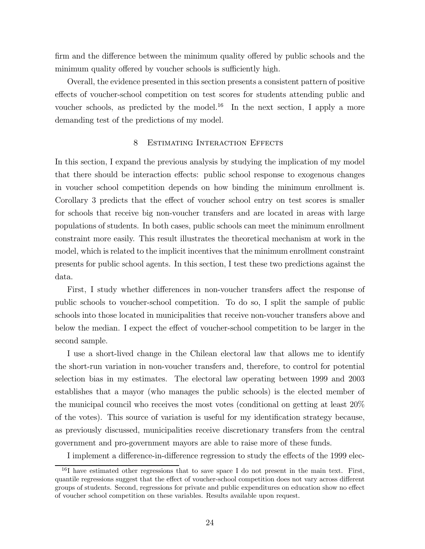firm and the difference between the minimum quality offered by public schools and the minimum quality offered by voucher schools is sufficiently high.

Overall, the evidence presented in this section presents a consistent pattern of positive effects of voucher-school competition on test scores for students attending public and voucher schools, as predicted by the model.<sup>16</sup> In the next section, I apply a more demanding test of the predictions of my model.

### 8 ESTIMATING INTERACTION EFFECTS

In this section, I expand the previous analysis by studying the implication of my model that there should be interaction effects: public school response to exogenous changes in voucher school competition depends on how binding the minimum enrollment is. Corollary 3 predicts that the effect of voucher school entry on test scores is smaller for schools that receive big non-voucher transfers and are located in areas with large populations of students. In both cases, public schools can meet the minimum enrollment constraint more easily. This result illustrates the theoretical mechanism at work in the model, which is related to the implicit incentives that the minimum enrollment constraint presents for public school agents. In this section, I test these two predictions against the data.

First, I study whether differences in non-voucher transfers affect the response of public schools to voucher-school competition. To do so, I split the sample of public schools into those located in municipalities that receive non-voucher transfers above and below the median. I expect the effect of voucher-school competition to be larger in the second sample.

I use a short-lived change in the Chilean electoral law that allows me to identify the short-run variation in non-voucher transfers and, therefore, to control for potential selection bias in my estimates. The electoral law operating between 1999 and 2003 establishes that a mayor (who manages the public schools) is the elected member of the municipal council who receives the most votes (conditional on getting at least 20% of the votes). This source of variation is useful for my identification strategy because, as previously discussed, municipalities receive discretionary transfers from the central government and pro-government mayors are able to raise more of these funds.

I implement a difference-in-difference regression to study the effects of the 1999 elec-

<sup>&</sup>lt;sup>16</sup>I have estimated other regressions that to save space I do not present in the main text. First, quantile regressions suggest that the effect of voucher-school competition does not vary across different groups of students. Second, regressions for private and public expenditures on education show no effect of voucher school competition on these variables. Results available upon request.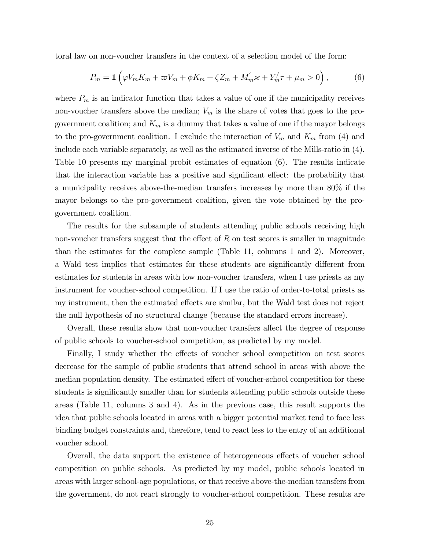toral law on non-voucher transfers in the context of a selection model of the form:

$$
P_m = \mathbf{1} \left( \varphi V_m K_m + \varpi V_m + \varphi K_m + \zeta Z_m + M'_m \varkappa + Y'_m \tau + \mu_m > 0 \right), \tag{6}
$$

where  $P_m$  is an indicator function that takes a value of one if the municipality receives non-voucher transfers above the median;  $V_m$  is the share of votes that goes to the progovernment coalition; and  $K_m$  is a dummy that takes a value of one if the mayor belongs to the pro-government coalition. I exclude the interaction of  $V_m$  and  $K_m$  from (4) and include each variable separately, as well as the estimated inverse of the Mills-ratio in (4). Table 10 presents my marginal probit estimates of equation (6). The results indicate that the interaction variable has a positive and significant effect: the probability that a municipality receives above-the-median transfers increases by more than 80% if the mayor belongs to the pro-government coalition, given the vote obtained by the progovernment coalition.

The results for the subsample of students attending public schools receiving high non-voucher transfers suggest that the effect of  $R$  on test scores is smaller in magnitude than the estimates for the complete sample (Table 11, columns 1 and 2). Moreover, a Wald test implies that estimates for these students are significantly different from estimates for students in areas with low non-voucher transfers, when I use priests as my instrument for voucher-school competition. If I use the ratio of order-to-total priests as my instrument, then the estimated effects are similar, but the Wald test does not reject the null hypothesis of no structural change (because the standard errors increase).

Overall, these results show that non-voucher transfers affect the degree of response of public schools to voucher-school competition, as predicted by my model.

Finally, I study whether the effects of voucher school competition on test scores decrease for the sample of public students that attend school in areas with above the median population density. The estimated effect of voucher-school competition for these students is significantly smaller than for students attending public schools outside these areas (Table 11, columns 3 and 4). As in the previous case, this result supports the idea that public schools located in areas with a bigger potential market tend to face less binding budget constraints and, therefore, tend to react less to the entry of an additional voucher school.

Overall, the data support the existence of heterogeneous effects of voucher school competition on public schools. As predicted by my model, public schools located in areas with larger school-age populations, or that receive above-the-median transfers from the government, do not react strongly to voucher-school competition. These results are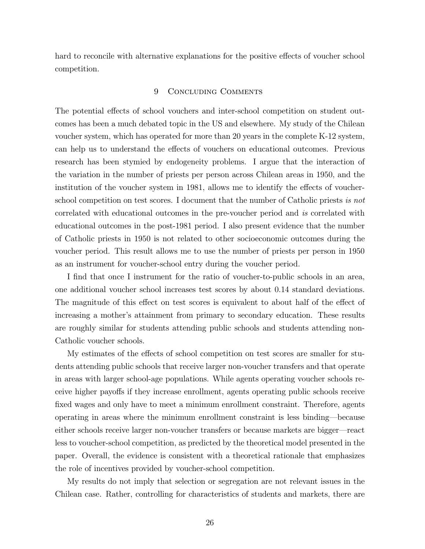hard to reconcile with alternative explanations for the positive effects of voucher school competition.

### 9 Concluding Comments

The potential effects of school vouchers and inter-school competition on student outcomes has been a much debated topic in the US and elsewhere. My study of the Chilean voucher system, which has operated for more than 20 years in the complete K-12 system, can help us to understand the effects of vouchers on educational outcomes. Previous research has been stymied by endogeneity problems. I argue that the interaction of the variation in the number of priests per person across Chilean areas in 1950, and the institution of the voucher system in 1981, allows me to identify the effects of voucherschool competition on test scores. I document that the number of Catholic priests is not correlated with educational outcomes in the pre-voucher period and is correlated with educational outcomes in the post-1981 period. I also present evidence that the number of Catholic priests in 1950 is not related to other socioeconomic outcomes during the voucher period. This result allows me to use the number of priests per person in 1950 as an instrument for voucher-school entry during the voucher period.

I find that once I instrument for the ratio of voucher-to-public schools in an area, one additional voucher school increases test scores by about 0.14 standard deviations. The magnitude of this effect on test scores is equivalent to about half of the effect of increasing a mother's attainment from primary to secondary education. These results are roughly similar for students attending public schools and students attending non-Catholic voucher schools.

My estimates of the effects of school competition on test scores are smaller for students attending public schools that receive larger non-voucher transfers and that operate in areas with larger school-age populations. While agents operating voucher schools receive higher payoffs if they increase enrollment, agents operating public schools receive fixed wages and only have to meet a minimum enrollment constraint. Therefore, agents operating in areas where the minimum enrollment constraint is less binding–because either schools receive larger non-voucher transfers or because markets are bigger–react less to voucher-school competition, as predicted by the theoretical model presented in the paper. Overall, the evidence is consistent with a theoretical rationale that emphasizes the role of incentives provided by voucher-school competition.

My results do not imply that selection or segregation are not relevant issues in the Chilean case. Rather, controlling for characteristics of students and markets, there are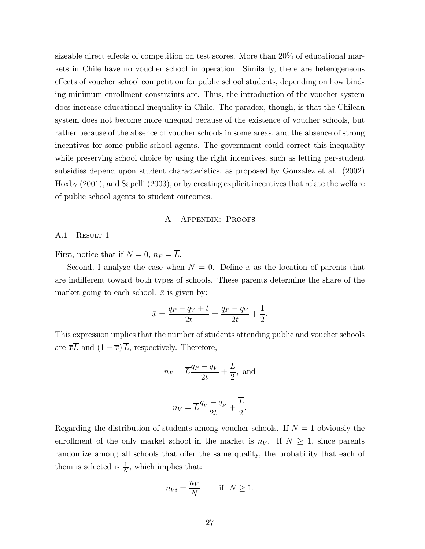sizeable direct effects of competition on test scores. More than 20% of educational markets in Chile have no voucher school in operation. Similarly, there are heterogeneous effects of voucher school competition for public school students, depending on how binding minimum enrollment constraints are. Thus, the introduction of the voucher system does increase educational inequality in Chile. The paradox, though, is that the Chilean system does not become more unequal because of the existence of voucher schools, but rather because of the absence of voucher schools in some areas, and the absence of strong incentives for some public school agents. The government could correct this inequality while preserving school choice by using the right incentives, such as letting per-student subsidies depend upon student characteristics, as proposed by Gonzalez et al. (2002) Hoxby (2001), and Sapelli (2003), or by creating explicit incentives that relate the welfare of public school agents to student outcomes.

### A Appendix: Proofs

### A.1 RESULT 1

First, notice that if  $N = 0$ ,  $n_P = \overline{L}$ .

Second, I analyze the case when  $N = 0$ . Define  $\bar{x}$  as the location of parents that are indifferent toward both types of schools. These parents determine the share of the market going to each school.  $\bar{x}$  is given by:

$$
\bar{x} = \frac{q_P - q_V + t}{2t} = \frac{q_P - q_V}{2t} + \frac{1}{2}.
$$

This expression implies that the number of students attending public and voucher schools are  $\overline{x}\overline{L}$  and  $(1-\overline{x})\overline{L}$ , respectively. Therefore,

$$
n_P = \overline{L}\frac{q_P - q_V}{2t} + \frac{\overline{L}}{2}, \text{ and}
$$
  

$$
n_V = \overline{L}\frac{q_V - q_P}{2t} + \frac{\overline{L}}{2}.
$$

Regarding the distribution of students among voucher schools. If  $N = 1$  obviously the enrollment of the only market school in the market is  $n<sub>V</sub>$ . If  $N \geq 1$ , since parents randomize among all schools that offer the same quality, the probability that each of them is selected is  $\frac{1}{N}$ , which implies that:

$$
n_{Vi} = \frac{n_V}{N} \qquad \text{if} \quad N \ge 1.
$$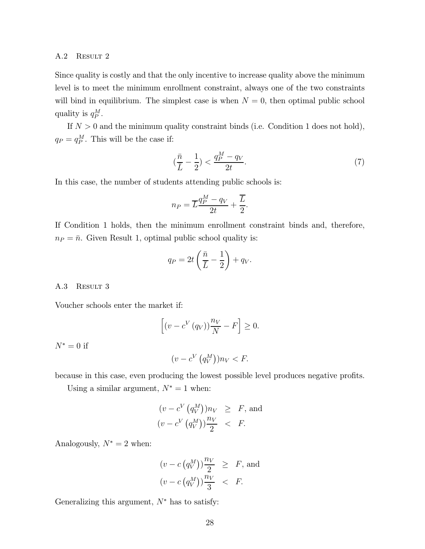### A.2 Result 2

Since quality is costly and that the only incentive to increase quality above the minimum level is to meet the minimum enrollment constraint, always one of the two constraints will bind in equilibrium. The simplest case is when  $N = 0$ , then optimal public school quality is  $q_P^M$ .

If  $N > 0$  and the minimum quality constraint binds (i.e. Condition 1 does not hold),  $q_P = q_P^M$ . This will be the case if:

$$
\left(\frac{\bar{n}}{\bar{L}} - \frac{1}{2}\right) < \frac{q_P^M - q_V}{2t}.\tag{7}
$$

In this case, the number of students attending public schools is:

$$
n_P = \overline{L} \frac{q_P^M - q_V}{2t} + \frac{\overline{L}}{2}.
$$

If Condition 1 holds, then the minimum enrollment constraint binds and, therefore,  $n_P = \bar{n}$ . Given Result 1, optimal public school quality is:

$$
q_P = 2t\left(\frac{\bar{n}}{\bar{L}} - \frac{1}{2}\right) + q_V.
$$

A.3 RESULT 3

Voucher schools enter the market if:

$$
\[ (v - c^{V}(q_{V})) \frac{n_{V}}{N} - F \] \ge 0.
$$

 $N^* = 0$  if

$$
(v - c^V \left( q_V^M \right)) n_V < F.
$$

because in this case, even producing the lowest possible level produces negative profits.

Using a similar argument,  $N^* = 1$  when:

$$
(v - cV (qVM))nV \geq F, \text{ and}
$$
  

$$
(v - cV (qVM))\frac{nV}{2} < F.
$$

Analogously,  $N^* = 2$  when:

$$
(v - c (q_V^M)) \frac{n_V}{2} \geq F, \text{ and}
$$
  

$$
(v - c (q_V^M)) \frac{n_V}{3} < F.
$$

Generalizing this argument,  $N^*$  has to satisfy: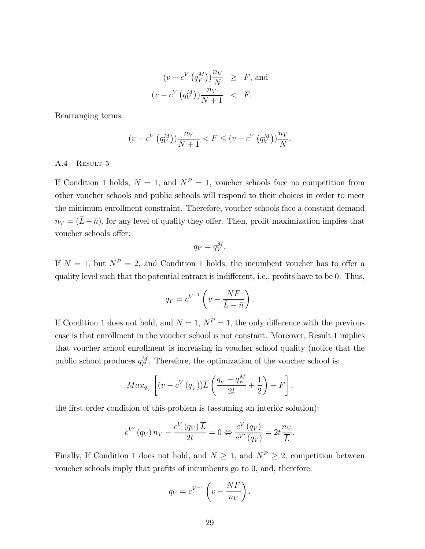$$
(v - cV (qVM))\frac{n_V}{N} \geq F, \text{ and}
$$
  

$$
(v - cV (qVM))\frac{n_V}{N+1} < F.
$$

Rearranging terms:

$$
(v - c^{V} (q_{V}^{M})) \frac{n_{V}}{N+1} < F \le (v - c^{V} (q_{V}^{M})) \frac{n_{V}}{N}.
$$

### A.4 Result 5

If Condition 1 holds,  $N = 1$ , and  $N^P = 1$ , voucher schools face no competition from other voucher schools and public schools will respond to their choices in order to meet the minimum enrollment constraint. Therefore, voucher schools face a constant demand  $n_V = (\bar{L} - \bar{n})$ , for any level of quality they offer. Then, profit maximization implies that voucher schools offer:

$$
q_V = q_V^M.
$$

If  $N = 1$ , but  $N^P = 2$ , and Condition 1 holds, the incumbent voucher has to offer a quality level such that the potential entrant is indifferent, i.e., profits have to be 0. Thus,

$$
q_V = c^{V^{-1}} \left( v - \frac{NF}{\bar{L} - \bar{n}} \right).
$$

If Condition 1 does not hold, and  $N = 1$ ,  $N^P = 1$ , the only difference with the previous case is that enrollment in the voucher school is not constant. Moreover, Result 1 implies that voucher school enrollment is increasing in voucher school quality (notice that the public school produces  $q_P^M$ . Therefore, the optimization of the voucher school is:

$$
Max_{q_V}\left[ (v - c^V(q_V)) \overline{L} \left( \frac{q_V - q_P^M}{2t} + \frac{1}{2} \right) - F \right],
$$

the first order condition of this problem is (assuming an interior solution):

$$
c^{V'}(q_V) n_V - \frac{c^V(q_V) \overline{L}}{2t} = 0 \Leftrightarrow \frac{c^V(q_V)}{c^{V'}(q_V)} = 2t \frac{n_V}{\overline{L}}.
$$

Finally, If Condition 1 does not hold, and  $N \geq 1$ , and  $N^P \geq 2$ , competition between voucher schools imply that profits of incumbents go to 0, and, therefore:

$$
q_V = c^{V^{-1}} \left( v - \frac{NF}{n_V} \right).
$$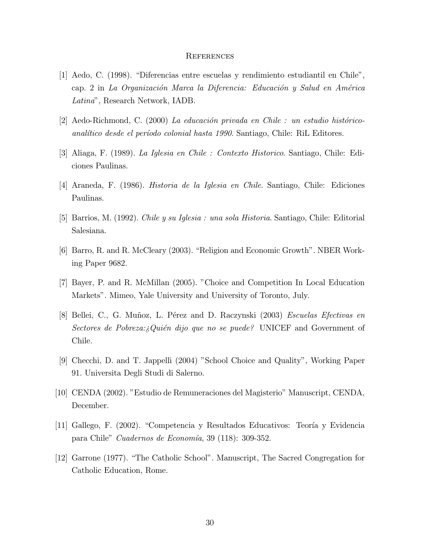#### **REFERENCES**

- [1] Aedo, C. (1998). "Diferencias entre escuelas y rendimiento estudiantil en Chile", cap. 2 in La Organización Marca la Diferencia: Educación y Salud en América Latina", Research Network, IADB.
- $[2]$  Aedo-Richmond, C. (2000) La educación privada en Chile : un estudio históricoanalítico desde el período colonial hasta 1990. Santiago, Chile: RiL Editores.
- [3] Aliaga, F. (1989). La Iglesia en Chile : Contexto Historico. Santiago, Chile: Ediciones Paulinas.
- [4] Araneda, F. (1986). Historia de la Iglesia en Chile. Santiago, Chile: Ediciones Paulinas.
- [5] Barrios, M. (1992). Chile y su Iglesia : una sola Historia. Santiago, Chile: Editorial Salesiana.
- [6] Barro, R. and R. McCleary (2003). "Religion and Economic Growth". NBER Working Paper 9682.
- [7] Bayer, P. and R. McMillan (2005). "Choice and Competition In Local Education Markets". Mimeo, Yale University and University of Toronto, July.
- [8] Bellei, C., G. Muñoz, L. Pérez and D. Raczynski (2003) *Escuelas Efectivas en* Sectores de Pobreza: Quién dijo que no se puede? UNICEF and Government of Chile.
- [9] Checchi, D. and T. Jappelli (2004) "School Choice and Quality", Working Paper 91. Universita Degli Studi di Salerno.
- [10] CENDA (2002). "Estudio de Remuneraciones del Magisterio" Manuscript, CENDA, December.
- [11] Gallego, F. (2002). "Competencia y Resultados Educativos: Teoría y Evidencia para Chile" Cuadernos de Economía, 39 (118): 309-352.
- [12] Garrone (1977). "The Catholic School". Manuscript, The Sacred Congregation for Catholic Education, Rome.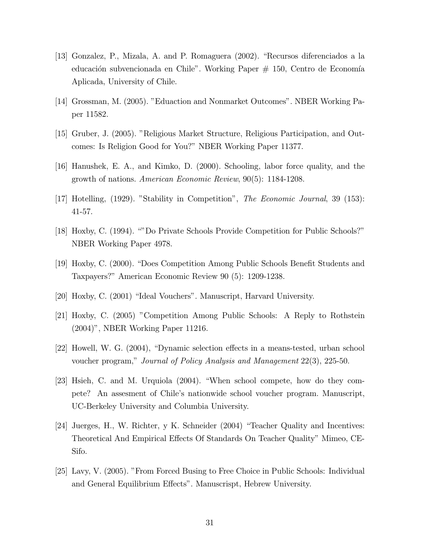- [13] Gonzalez, P., Mizala, A. and P. Romaguera (2002). "Recursos diferenciados a la educación subvencionada en Chile". Working Paper  $# 150$ , Centro de Economía Aplicada, University of Chile.
- [14] Grossman, M. (2005). "Eduaction and Nonmarket Outcomes". NBER Working Paper 11582.
- [15] Gruber, J. (2005). "Religious Market Structure, Religious Participation, and Outcomes: Is Religion Good for You?" NBER Working Paper 11377.
- [16] Hanushek, E. A., and Kimko, D. (2000). Schooling, labor force quality, and the growth of nations. American Economic Review, 90(5): 1184-1208.
- [17] Hotelling, (1929). "Stability in Competition", The Economic Journal, 39 (153): 41-57.
- [18] Hoxby, C. (1994). ""Do Private Schools Provide Competition for Public Schools?" NBER Working Paper 4978.
- [19] Hoxby, C. (2000). "Does Competition Among Public Schools Benefit Students and Taxpayers?" American Economic Review 90 (5): 1209-1238.
- [20] Hoxby, C. (2001) "Ideal Vouchers". Manuscript, Harvard University.
- [21] Hoxby, C. (2005) "Competition Among Public Schools: A Reply to Rothstein (2004)", NBER Working Paper 11216.
- [22] Howell, W. G. (2004), "Dynamic selection effects in a means-tested, urban school voucher program," Journal of Policy Analysis and Management 22(3), 225-50.
- [23] Hsieh, C. and M. Urquiola (2004). "When school compete, how do they compete? An assesment of Chile's nationwide school voucher program. Manuscript, UC-Berkeley University and Columbia University.
- [24] Juerges, H., W. Richter, y K. Schneider (2004) "Teacher Quality and Incentives: Theoretical And Empirical Effects Of Standards On Teacher Quality" Mimeo, CE-Sifo.
- [25] Lavy, V. (2005). "From Forced Busing to Free Choice in Public Schools: Individual and General Equilibrium Effects". Manuscrispt, Hebrew University.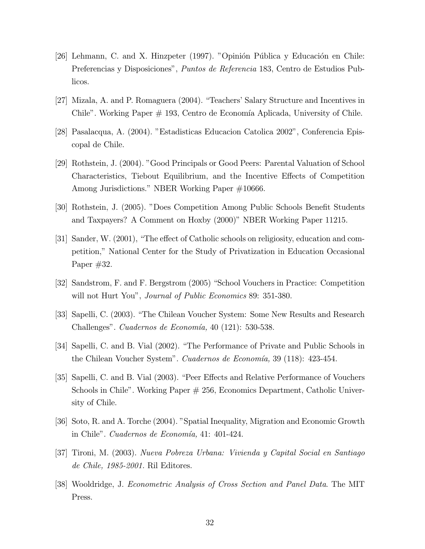- [26] Lehmann, C. and X. Hinzpeter (1997). "Opinión Pública y Educación en Chile: Preferencias y Disposiciones", Puntos de Referencia 183, Centro de Estudios Publicos.
- [27] Mizala, A. and P. Romaguera (2004). "Teachers' Salary Structure and Incentives in Chile". Working Paper  $\#$  193, Centro de Economía Aplicada, University of Chile.
- [28] Pasalacqua, A. (2004). "Estadisticas Educacion Catolica 2002", Conferencia Episcopal de Chile.
- [29] Rothstein, J. (2004). "Good Principals or Good Peers: Parental Valuation of School Characteristics, Tiebout Equilibrium, and the Incentive Effects of Competition Among Jurisdictions." NBER Working Paper #10666.
- [30] Rothstein, J. (2005). "Does Competition Among Public Schools Benefit Students and Taxpayers? A Comment on Hoxby (2000)" NBER Working Paper 11215.
- [31] Sander, W. (2001), "The effect of Catholic schools on religiosity, education and competition," National Center for the Study of Privatization in Education Occasional Paper #32.
- [32] Sandstrom, F. and F. Bergstrom (2005) "School Vouchers in Practice: Competition will not Hurt You", *Journal of Public Economics* 89: 351-380.
- [33] Sapelli, C. (2003). "The Chilean Voucher System: Some New Results and Research Challenges". Cuadernos de Economía, 40 (121): 530-538.
- [34] Sapelli, C. and B. Vial (2002). "The Performance of Private and Public Schools in the Chilean Voucher System". Cuadernos de Economía, 39 (118): 423-454.
- [35] Sapelli, C. and B. Vial (2003). "Peer Effects and Relative Performance of Vouchers Schools in Chile". Working Paper # 256, Economics Department, Catholic University of Chile.
- [36] Soto, R. and A. Torche (2004). "Spatial Inequality, Migration and Economic Growth in Chile". Cuadernos de Economía, 41: 401-424.
- [37] Tironi, M. (2003). Nueva Pobreza Urbana: Vivienda y Capital Social en Santiago de Chile, 1985-2001. Ril Editores.
- [38] Wooldridge, J. Econometric Analysis of Cross Section and Panel Data. The MIT Press.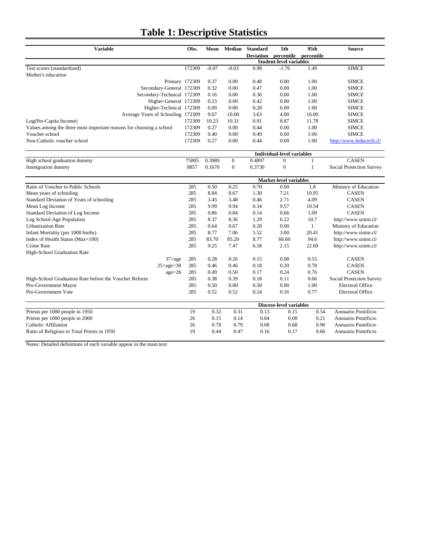### **Table 1: Descriptive Statistics**

| <b>Variable</b>                                                                                                                  |                |         | Mean Median      | <b>Standard</b>                | 5th                               | 95th         | <b>Source</b>                   |
|----------------------------------------------------------------------------------------------------------------------------------|----------------|---------|------------------|--------------------------------|-----------------------------------|--------------|---------------------------------|
|                                                                                                                                  |                |         |                  | <b>Deviation</b>               | percentile                        | percentile   |                                 |
|                                                                                                                                  |                |         |                  |                                | <b>Student-level variables</b>    |              |                                 |
| Test scores (standardized)                                                                                                       | 172309         | $-0.07$ | $-0.03$          | 0.98                           | $-1.76$                           | 1.49         | <b>SIMCE</b>                    |
| Mother's education                                                                                                               |                |         |                  |                                |                                   |              |                                 |
|                                                                                                                                  | Primary 172309 | 0.37    | 0.00             | 0.48                           | 0.00                              | 1.00         | <b>SIMCE</b>                    |
| Secondary-General 172309                                                                                                         |                | 0.32    | 0.00             | 0.47                           | 0.00                              | 1.00         | <b>SIMCE</b>                    |
| Secondary-Technical 172309                                                                                                       |                | 0.16    | 0.00             | 0.36                           | 0.00                              | 1.00         | <b>SIMCE</b>                    |
| Higher-General 172309                                                                                                            |                | 0.23    | 0.00             | 0.42                           | 0.00                              | 1.00         | <b>SIMCE</b>                    |
| Higher-Technical 172309                                                                                                          |                | 0.09    | 0.00             | 0.28                           | 0.00                              | 1.00         | <b>SIMCE</b>                    |
| Average Years of Schooling 172309                                                                                                |                | 9.67    | 10.00            | 3.63                           | 4.00                              | 16.00        | <b>SIMCE</b>                    |
| Log(Per-Capita Income)                                                                                                           | 172309         | 10.23   | 10.31            | 0.91                           | 8.87                              | 11.78        | <b>SIMCE</b>                    |
| Values among the three most important reasons for choosing a school                                                              | 172309         | 0.27    | 0.00             | 0.44                           | 0.00                              | 1.00         | <b>SIMCE</b>                    |
| Voucher school                                                                                                                   | 172309         | 0.40    | 0.00             | 0.49                           | 0.00                              | 1.00         | <b>SIMCE</b>                    |
| Non-Catholic voucher school                                                                                                      | 172309         | 0.27    | 0.00             | 0.44                           | 0.00                              | 1.00         | http://www.feducech.cl/         |
|                                                                                                                                  |                |         |                  |                                |                                   |              |                                 |
|                                                                                                                                  |                |         |                  |                                | <b>Individual-level variables</b> |              |                                 |
| High school graduation dummy                                                                                                     | 75805          | 0.3989  | $\mathbf{0}$     | 0.4897                         | $\boldsymbol{0}$                  | $\mathbf{1}$ | <b>CASEN</b>                    |
| Immigration dummy                                                                                                                | 8857           | 0.1670  | $\boldsymbol{0}$ | 0.3730                         | $\boldsymbol{0}$                  | $\mathbf{1}$ | Social Protection Survey        |
|                                                                                                                                  |                |         |                  |                                |                                   |              |                                 |
|                                                                                                                                  |                |         |                  |                                | Market-level variables            |              |                                 |
| Ratio of Voucher to Public Schools                                                                                               | 285            | 0.50    | 0.25             | 0.70                           | 0.00                              | 1.8          | Ministry of Education           |
| Mean years of schooling                                                                                                          | 285            | 8.84    | 8.67             | 1.30                           | 7.21                              | 10.95        | <b>CASEN</b>                    |
| Standard Deviation of Years of schooling                                                                                         | 285            | 3.45    | 3.48             | 0.46                           | 2.71                              | 4.09         | <b>CASEN</b>                    |
| Mean Log Income                                                                                                                  | 285            | 9.99    | 9.94             | 0.34                           | 9.57                              | 10.54        | <b>CASEN</b>                    |
| Standard Deviation of Log Income                                                                                                 | 285            | 0.86    | 0.84             | 0.14                           | 0.66                              | 1.09         | <b>CASEN</b>                    |
| Log School-Age Population                                                                                                        | 285            | 8.37    | 8.36             | 1.29                           | 6.22                              | 10.7         | http://www.sinim.cl/            |
| <b>Urbanization Rate</b>                                                                                                         | 285            | 0.64    | 0.67             | 0.28                           | 0.00                              | $\mathbf{1}$ | Ministry of Education           |
| Infant Mortality (per 1000 births)                                                                                               | 285            | 8.77    | 7.06             | 5.52                           | 3.00                              | 20.41        | http://www.sinim.cl/            |
| Index of Health Status (Max=100)                                                                                                 | 285            | 83.70   | 85.20            | 8.77                           | 66.60                             | 94.6         | http://www.sinim.cl/            |
| Crime Rate                                                                                                                       | 285            | 9.25    | 7.47             | 6.58                           | 2.15                              | 22.69        | http://www.sinim.cl/            |
| High-School Graduation Rate                                                                                                      |                |         |                  |                                |                                   |              |                                 |
| $37$ <age< td=""><td>285</td><td>0.28</td><td>0.26</td><td>0.15</td><td>0.08</td><td>0.55</td><td><b>CASEN</b></td></age<>       | 285            | 0.28    | 0.26             | 0.15                           | 0.08                              | 0.55         | <b>CASEN</b>                    |
| $25$ <age<38< td=""><td>285</td><td>0.46</td><td>0.46</td><td>0.18</td><td>0.20</td><td>0.78</td><td><b>CASEN</b></td></age<38<> | 285            | 0.46    | 0.46             | 0.18                           | 0.20                              | 0.78         | <b>CASEN</b>                    |
| age<26                                                                                                                           | 285            | 0.49    | 0.50             | 0.17                           | 0.24                              | 0.76         | <b>CASEN</b>                    |
| High-School Graduation Rate before the Voucher Reform                                                                            | 285            | 0.38    | 0.39             | 0.18                           | 0.11                              | 0.66         | <b>Social Protection Survey</b> |
| Pro-Government Mayor                                                                                                             | 285            | 0.50    | 0.00             | 0.50                           | 0.00                              | 1.00         | <b>Electoral Office</b>         |
| Pro-Government Vote                                                                                                              | 285            | 0.52    | 0.52             | 0.24                           | 0.16                              | 0.77         | <b>Electoral Office</b>         |
|                                                                                                                                  |                |         |                  |                                |                                   |              |                                 |
|                                                                                                                                  |                |         |                  | <b>Diocese-level variables</b> |                                   |              |                                 |
| Priests per 1000 people in 1950                                                                                                  | 19             | 0.32    | 0.31             | 0.13                           | 0.15                              | 0.54         | Annuario Pontificio             |
| Priests per 1000 people in 2000                                                                                                  | 26             | 0.15    | 0.14             | 0.04                           | 0.08                              | 0.21         | Annuario Pontificio             |
| Catholic Affiliation                                                                                                             | 26             | 0.78    | 0.79             | 0.08                           | 0.68                              | 0.90         | Annuario Pontificio             |
| Ratio of Religious to Total Priests in 1950                                                                                      | 19             | 0.44    | 0.47             | 0.16                           | 0.17                              | 0.66         | Annuario Pontificio             |
|                                                                                                                                  |                |         |                  |                                |                                   |              |                                 |

Notes: Detailed definitions of each variable appear in the main text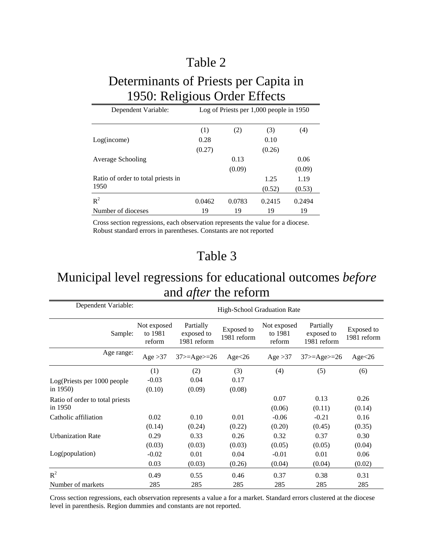## Determinants of Priests per Capita in 1950: Religious Order Effects

| Dependent Variable:                | Log of Priests per 1,000 people in 1950 |        |        |        |  |  |  |
|------------------------------------|-----------------------------------------|--------|--------|--------|--|--|--|
|                                    | (1)                                     | (2)    | (3)    | (4)    |  |  |  |
| Log(income)                        | 0.28                                    |        | 0.10   |        |  |  |  |
|                                    | (0.27)                                  |        | (0.26) |        |  |  |  |
| Average Schooling                  |                                         | 0.13   |        | 0.06   |  |  |  |
|                                    |                                         | (0.09) |        | (0.09) |  |  |  |
| Ratio of order to total priests in |                                         |        | 1.25   | 1.19   |  |  |  |
| 1950                               |                                         |        | (0.52) | (0.53) |  |  |  |
| $R^2$                              | 0.0462                                  | 0.0783 | 0.2415 | 0.2494 |  |  |  |
| Number of dioceses                 | 19                                      | 19     | 19     | 19     |  |  |  |

Cross section regressions, each observation represents the value for a diocese. Robust standard errors in parentheses. Constants are not reported

## Table 3

# Municipal level regressions for educational outcomes *before* and *after* the reform

| Dependent Variable:                        | High-School Graduation Rate      |                                        |                           |                                  |                                        |                           |  |
|--------------------------------------------|----------------------------------|----------------------------------------|---------------------------|----------------------------------|----------------------------------------|---------------------------|--|
| Sample:                                    | Not exposed<br>to 1981<br>reform | Partially<br>exposed to<br>1981 reform | Exposed to<br>1981 reform | Not exposed<br>to 1981<br>reform | Partially<br>exposed to<br>1981 reform | Exposed to<br>1981 reform |  |
| Age range:                                 | Age $>37$                        | $37$ > = Age > = 26                    | Age $<26$                 | Age $>37$                        | $37$ > = Age > = 26                    | Age < 26                  |  |
| Log(Priests per 1000 people<br>in $1950$ ) | (1)<br>$-0.03$<br>(0.10)         | (2)<br>0.04<br>(0.09)                  | (3)<br>0.17<br>(0.08)     | (4)                              | (5)                                    | (6)                       |  |
| Ratio of order to total priests<br>in 1950 |                                  |                                        |                           | 0.07<br>(0.06)                   | 0.13<br>(0.11)                         | 0.26<br>(0.14)            |  |
| Catholic affiliation                       | 0.02<br>(0.14)                   | 0.10<br>(0.24)                         | 0.01<br>(0.22)            | $-0.06$<br>(0.20)                | $-0.21$<br>(0.45)                      | 0.16<br>(0.35)            |  |
| <b>Urbanization Rate</b>                   | 0.29<br>(0.03)                   | 0.33<br>(0.03)                         | 0.26<br>(0.03)            | 0.32<br>(0.05)                   | 0.37<br>(0.05)                         | 0.30<br>(0.04)            |  |
| Log(population)                            | $-0.02$<br>0.03                  | 0.01<br>(0.03)                         | 0.04<br>(0.26)            | $-0.01$<br>(0.04)                | 0.01<br>(0.04)                         | 0.06<br>(0.02)            |  |
| $R^2$<br>Number of markets                 | 0.49<br>285                      | 0.55<br>285                            | 0.46<br>285               | 0.37<br>285                      | 0.38<br>285                            | 0.31<br>285               |  |

Cross section regressions, each observation represents a value a for a market. Standard errors clustered at the diocese level in parenthesis. Region dummies and constants are not reported.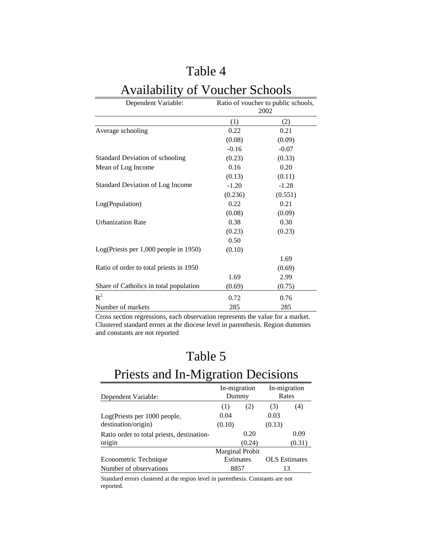# Availability of Voucher Schools

| Dependent Variable:                     | Ratio of voucher to public schools,<br>2002 |         |  |  |  |
|-----------------------------------------|---------------------------------------------|---------|--|--|--|
|                                         | (1)                                         | (2)     |  |  |  |
| Average schooling                       | 0.22                                        | 0.21    |  |  |  |
|                                         | (0.08)                                      | (0.09)  |  |  |  |
|                                         | $-0.16$                                     | $-0.07$ |  |  |  |
| <b>Standard Deviation of schooling</b>  | (0.23)                                      | (0.33)  |  |  |  |
| Mean of Log Income                      | 0.16                                        | 0.20    |  |  |  |
|                                         | (0.13)                                      | (0.11)  |  |  |  |
| <b>Standard Deviation of Log Income</b> | $-1.20$                                     | $-1.28$ |  |  |  |
|                                         | (0.236)                                     | (0.551) |  |  |  |
| Log(Population)                         | 0.22                                        | 0.21    |  |  |  |
|                                         | (0.08)                                      | (0.09)  |  |  |  |
| <b>Urbanization Rate</b>                | 0.38                                        | 0.30    |  |  |  |
|                                         | (0.23)                                      | (0.23)  |  |  |  |
|                                         | 0.50                                        |         |  |  |  |
| Log(Priests per 1,000 people in 1950)   | (0.10)                                      |         |  |  |  |
|                                         |                                             | 1.69    |  |  |  |
| Ratio of order to total priests in 1950 |                                             | (0.69)  |  |  |  |
|                                         | 1.69                                        | 2.99    |  |  |  |
| Share of Catholics in total population  | (0.69)                                      | (0.75)  |  |  |  |
| $R^2$                                   | 0.72                                        | 0.76    |  |  |  |
| Number of markets                       | 285                                         | 285     |  |  |  |

Cross section regressions, each observation represents the value for a market. Clustered standard errors at the diocese level in parenthesis. Region dummies and constants are not reported

## Table 5

# Priests and In-Migration Decisions

| Dependent Variable:                        | In-migration<br>Dummy |                        |        | In-migration<br>Rates |
|--------------------------------------------|-----------------------|------------------------|--------|-----------------------|
|                                            | (1)                   | (2)                    | (3)    | (4)                   |
| Log(Priests per 1000 people,               | 0.04                  |                        | 0.03   |                       |
| destination/origin)                        | (0.10)                |                        | (0.13) |                       |
| Ratio order to total priests, destination- | 0.20                  |                        |        | 0.09                  |
| origin                                     |                       | (0.24)                 |        | (0.31)                |
|                                            |                       | <b>Marginal Probit</b> |        |                       |
| Econometric Technique                      | Estimates             |                        |        | <b>OLS</b> Estimates  |
| Number of observations                     |                       | 8857                   |        | 13                    |

Standard errors clustered at the region level in parenthesis. Constants are not reported.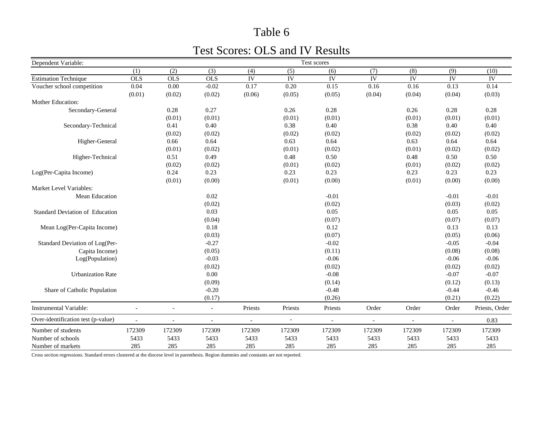### Test Scores: OLS and IV Results

| Dependent Variable:                |                |            |                          |                |                | Test scores              |                 |                 |                |                |
|------------------------------------|----------------|------------|--------------------------|----------------|----------------|--------------------------|-----------------|-----------------|----------------|----------------|
|                                    | (1)            | (2)        | (3)                      | (4)            | (5)            | (6)                      | (7)             | (8)             | (9)            | (10)           |
| <b>Estimation Technique</b>        | OLS            | <b>OLS</b> | <b>OLS</b>               | IV             | IV             | $\overline{\text{IV}}$   | $\overline{IV}$ | $\overline{IV}$ | IV             | IV             |
| Voucher school competition         | 0.04           | 0.00       | $-0.02$                  | 0.17           | 0.20           | 0.15                     | 0.16            | 0.16            | 0.13           | 0.14           |
|                                    | (0.01)         | (0.02)     | (0.02)                   | (0.06)         | (0.05)         | (0.05)                   | (0.04)          | (0.04)          | (0.04)         | (0.03)         |
| Mother Education:                  |                |            |                          |                |                |                          |                 |                 |                |                |
| Secondary-General                  |                | 0.28       | 0.27                     |                | 0.26           | 0.28                     |                 | 0.26            | 0.28           | 0.28           |
|                                    |                | (0.01)     | (0.01)                   |                | (0.01)         | (0.01)                   |                 | (0.01)          | (0.01)         | (0.01)         |
| Secondary-Technical                |                | 0.41       | 0.40                     |                | 0.38           | 0.40                     |                 | 0.38            | 0.40           | 0.40           |
|                                    |                | (0.02)     | (0.02)                   |                | (0.02)         | (0.02)                   |                 | (0.02)          | (0.02)         | (0.02)         |
| Higher-General                     |                | 0.66       | 0.64                     |                | 0.63           | 0.64                     |                 | 0.63            | 0.64           | 0.64           |
|                                    |                | (0.01)     | (0.02)                   |                | (0.01)         | (0.02)                   |                 | (0.01)          | (0.02)         | (0.02)         |
| Higher-Technical                   |                | 0.51       | 0.49                     |                | 0.48           | 0.50                     |                 | 0.48            | 0.50           | 0.50           |
|                                    |                | (0.02)     | (0.02)                   |                | (0.01)         | (0.02)                   |                 | (0.01)          | (0.02)         | (0.02)         |
| Log(Per-Capita Income)             |                | 0.24       | 0.23                     |                | 0.23           | 0.23                     |                 | 0.23            | 0.23           | 0.23           |
|                                    |                | (0.01)     | (0.00)                   |                | (0.01)         | (0.00)                   |                 | (0.01)          | (0.00)         | (0.00)         |
| Market Level Variables:            |                |            |                          |                |                |                          |                 |                 |                |                |
| Mean Education                     |                |            | 0.02                     |                |                | $-0.01$                  |                 |                 | $-0.01$        | $-0.01$        |
|                                    |                |            | (0.02)                   |                |                | (0.02)                   |                 |                 | (0.03)         | (0.02)         |
| Standard Deviation of Education    |                |            | 0.03                     |                |                | 0.05                     |                 |                 | 0.05           | 0.05           |
|                                    |                |            | (0.04)                   |                |                | (0.07)                   |                 |                 | (0.07)         | (0.07)         |
| Mean Log(Per-Capita Income)        |                |            | 0.18                     |                |                | 0.12                     |                 |                 | 0.13           | 0.13           |
|                                    |                |            | (0.03)                   |                |                | (0.07)                   |                 |                 | (0.05)         | (0.06)         |
| Standard Deviation of Log(Per-     |                |            | $-0.27$                  |                |                | $-0.02$                  |                 |                 | $-0.05$        | $-0.04$        |
| Capita Income)                     |                |            | (0.05)                   |                |                | (0.11)                   |                 |                 | (0.08)         | (0.08)         |
| Log(Population)                    |                |            | $-0.03$                  |                |                | $-0.06$                  |                 |                 | $-0.06$        | $-0.06$        |
|                                    |                |            | (0.02)                   |                |                | (0.02)                   |                 |                 | (0.02)         | (0.02)         |
| <b>Urbanization Rate</b>           |                |            | 0.00                     |                |                | $-0.08$                  |                 |                 | $-0.07$        | $-0.07$        |
|                                    |                |            | (0.09)                   |                |                | (0.14)                   |                 |                 | (0.12)         | (0.13)         |
| Share of Catholic Population       |                |            | $-0.20$                  |                |                | $-0.48$                  |                 |                 | $-0.44$        | $-0.46$        |
|                                    |                |            | (0.17)                   |                |                | (0.26)                   |                 |                 | (0.21)         | (0.22)         |
| <b>Instrumental Variable:</b>      | $\overline{a}$ |            | $\overline{\phantom{a}}$ | Priests        | Priests        | Priests                  | Order           | Order           | Order          | Priests, Order |
| Over-identification test (p-value) |                |            | $\blacksquare$           | $\blacksquare$ | $\overline{a}$ | $\overline{\phantom{a}}$ | $\blacksquare$  | $\blacksquare$  | $\blacksquare$ | 0.83           |
| Number of students                 | 172309         | 172309     | 172309                   | 172309         | 172309         | 172309                   | 172309          | 172309          | 172309         | 172309         |
| Number of schools                  | 5433           | 5433       | 5433                     | 5433           | 5433           | 5433                     | 5433            | 5433            | 5433           | 5433           |
| Number of markets                  | 285            | 285        | 285                      | 285            | 285            | 285                      | 285             | 285             | 285            | 285            |

Cross section regressions. Standard errors clustered at the diocese level in parenthesis. Region dummies and constants are not reported.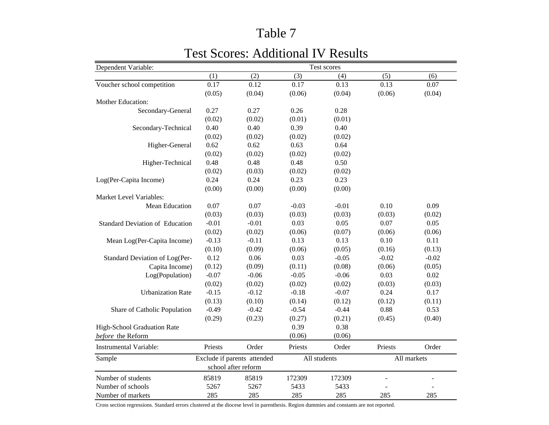#### Dependent Variable: (1) (2) (3) (4) (5) (6) Voucher school competition  $0.17$  0.12 0.17 0.13 0.13 0.07  $(0.05)$   $(0.04)$   $(0.06)$   $(0.04)$   $(0.06)$   $(0.04)$ Mother Education:Secondary-General 0.27 0.27 0.26 0.28  $(0.02)$   $(0.02)$   $(0.01)$   $(0.01)$ Secondary-Technical 0.40 0.40 0.39 0.40  $(0.02)$   $(0.02)$   $(0.02)$   $(0.02)$ Higher-General 0.62 0.62 0.63 0.64  $(0.02)$   $(0.02)$   $(0.02)$   $(0.02)$ Higher-Technical 0.48 0.48 0.48 0.50  $(0.02)$   $(0.03)$   $(0.02)$   $(0.02)$ Log(Per-Capita Income) 0.24 0.24 0.23 0.23  $(0.00)$   $(0.00)$   $(0.00)$   $(0.00)$ Market Level Variables: Mean Education 0.07 0.07 -0.03 -0.01 0.10 0.090.09  $(0.03)$   $(0.03)$   $(0.03)$   $(0.03)$   $(0.03)$   $(0.02)$ -0.01 -0.01 0.03 0.05 0.07 0.05 $(0.02)$   $(0.02)$   $(0.06)$   $(0.07)$   $(0.06)$   $(0.06)$ -0.13 -0.11 0.13 0.13 0.10 0.11 $(0.10)$   $(0.09)$   $(0.06)$   $(0.05)$   $(0.16)$   $(0.13)$  $0.12$   $0.06$   $0.03$   $0.05$   $0.02$   $0.02$  $-0.02$  $(0.12)$   $(0.09)$   $(0.11)$   $(0.08)$   $(0.06)$   $(0.05)$ Log(Population) -0.07 -0.06 -0.05 -0.06 0.03 0.02  $(0.02)$   $(0.02)$   $(0.02)$   $(0.02)$   $(0.03)$   $(0.03)$ Urbanization Rate  $-0.15$   $-0.12$   $-0.18$   $-0.07$   $0.24$   $0.17$  $(0.13)$   $(0.10)$   $(0.14)$   $(0.12)$   $(0.12)$   $(0.11)$ Share of Catholic Population -0.49 -0.42 -0.54 -0.44 0.88 0.53  $(0.29)$   $(0.23)$   $(0.27)$   $(0.21)$   $(0.45)$   $(0.40)$ 0.39 0.38  $(0.06)$   $(0.06)$ Instrumental Variable: Priests Order Priests Order Priests OrderSample Number of students 85819 85819 172309 172309 - -Number of schools 5267 5267 5433 5433 - -Number of markets 285 285 285 285 285 285 285 Test scores Exclude if parents attended school after reformAll students All markets Standard Deviation of EducationStandard Deviation of Log(Per-Capita Income) Mean Log(Per-Capita Income) High-School Graduation Rate *before* the Reform

### Test Scores: Additional IV Results

Cross section regressions. Standard errors clustered at the diocese level in parenthesis. Region dummies and constants are not reported.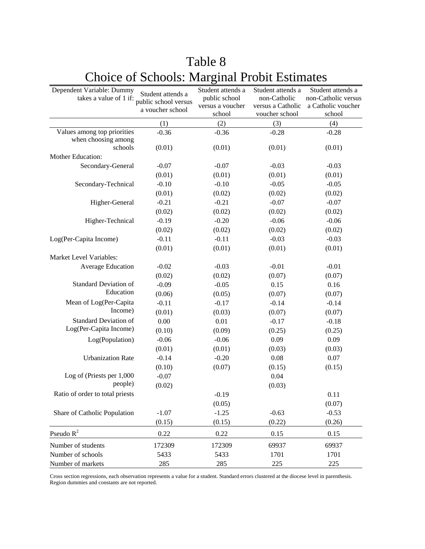| Dependent Variable: Dummy<br>takes a value of 1 if: | Student attends a<br>public school versus<br>a voucher school | Student attends a<br>public school<br>versus a voucher | Student attends a<br>non-Catholic<br>versus a Catholic | Student attends a<br>non-Catholic versus<br>a Catholic voucher |
|-----------------------------------------------------|---------------------------------------------------------------|--------------------------------------------------------|--------------------------------------------------------|----------------------------------------------------------------|
|                                                     |                                                               | school                                                 | voucher school                                         | school                                                         |
|                                                     | (1)                                                           | (2)                                                    | (3)                                                    | (4)                                                            |
| Values among top priorities                         | $-0.36$                                                       | $-0.36$                                                | $-0.28$                                                | $-0.28$                                                        |
| when choosing among<br>schools                      | (0.01)                                                        |                                                        |                                                        |                                                                |
| Mother Education:                                   |                                                               | (0.01)                                                 | (0.01)                                                 | (0.01)                                                         |
| Secondary-General                                   | $-0.07$                                                       | $-0.07$                                                | $-0.03$                                                | $-0.03$                                                        |
|                                                     | (0.01)                                                        | (0.01)                                                 | (0.01)                                                 | (0.01)                                                         |
| Secondary-Technical                                 | $-0.10$                                                       | $-0.10$                                                | $-0.05$                                                | $-0.05$                                                        |
|                                                     | (0.01)                                                        | (0.02)                                                 | (0.02)                                                 | (0.02)                                                         |
| Higher-General                                      | $-0.21$                                                       | $-0.21$                                                | $-0.07$                                                | $-0.07$                                                        |
|                                                     | (0.02)                                                        | (0.02)                                                 | (0.02)                                                 | (0.02)                                                         |
| Higher-Technical                                    | $-0.19$                                                       | $-0.20$                                                | $-0.06$                                                | $-0.06$                                                        |
|                                                     | (0.02)                                                        | (0.02)                                                 | (0.02)                                                 | (0.02)                                                         |
| Log(Per-Capita Income)                              | $-0.11$                                                       | $-0.11$                                                | $-0.03$                                                | $-0.03$                                                        |
|                                                     | (0.01)                                                        | (0.01)                                                 | (0.01)                                                 | (0.01)                                                         |
| Market Level Variables:                             |                                                               |                                                        |                                                        |                                                                |
| Average Education                                   | $-0.02$                                                       | $-0.03$                                                | $-0.01$                                                | $-0.01$                                                        |
|                                                     | (0.02)                                                        | (0.02)                                                 | (0.07)                                                 | (0.07)                                                         |
| <b>Standard Deviation of</b>                        | $-0.09$                                                       | $-0.05$                                                | 0.15                                                   | 0.16                                                           |
| Education                                           | (0.06)                                                        | (0.05)                                                 | (0.07)                                                 | (0.07)                                                         |
| Mean of Log(Per-Capita                              | $-0.11$                                                       | $-0.17$                                                | $-0.14$                                                | $-0.14$                                                        |
| Income)                                             | (0.01)                                                        | (0.03)                                                 | (0.07)                                                 | (0.07)                                                         |
| <b>Standard Deviation of</b>                        | 0.00                                                          | 0.01                                                   | $-0.17$                                                | $-0.18$                                                        |
| Log(Per-Capita Income)                              | (0.10)                                                        | (0.09)                                                 | (0.25)                                                 | (0.25)                                                         |
| Log(Population)                                     | $-0.06$                                                       | $-0.06$                                                | 0.09                                                   | 0.09                                                           |
|                                                     | (0.01)                                                        | (0.01)                                                 | (0.03)                                                 | (0.03)                                                         |
| <b>Urbanization Rate</b>                            | $-0.14$                                                       | $-0.20$                                                | 0.08                                                   | 0.07                                                           |
|                                                     | (0.10)                                                        | (0.07)                                                 | (0.15)                                                 | (0.15)                                                         |
| Log of (Priests per 1,000                           | $-0.07$                                                       |                                                        | 0.04                                                   |                                                                |
| people)                                             | (0.02)                                                        |                                                        | (0.03)                                                 |                                                                |
| Ratio of order to total priests                     |                                                               | $-0.19$                                                |                                                        | 0.11                                                           |
|                                                     |                                                               | (0.05)                                                 |                                                        | (0.07)                                                         |
| Share of Catholic Population                        | $-1.07$                                                       | $-1.25$                                                | $-0.63$                                                | $-0.53$                                                        |
|                                                     | (0.15)                                                        | (0.15)                                                 | (0.22)                                                 | (0.26)                                                         |
| Pseudo $R^2$                                        | 0.22                                                          | 0.22                                                   | 0.15                                                   | 0.15                                                           |
| Number of students                                  | 172309                                                        | 172309                                                 | 69937                                                  | 69937                                                          |
| Number of schools                                   | 5433                                                          | 5433                                                   | 1701                                                   | 1701                                                           |
| Number of markets                                   | 285                                                           | 285                                                    | 225                                                    | 225                                                            |

# Table 8 Choice of Schools: Marginal Probit Estimates

Cross section regressions, each observation represents a value for a student. Standard errors clustered at the diocese level in parenthesis. Region dummies and constants are not reported.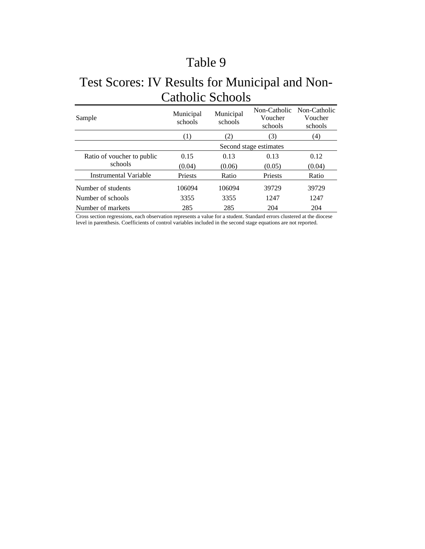## Test Scores: IV Results for Municipal and Non-Catholic Schools

| Sample                     | Municipal<br>Municipal<br>schools<br>schools |        | Non-Catholic<br>Voucher<br>schools | Non-Catholic<br>Voucher<br>schools |
|----------------------------|----------------------------------------------|--------|------------------------------------|------------------------------------|
|                            | (1)                                          | (2)    | (3)                                | (4)                                |
|                            | Second stage estimates                       |        |                                    |                                    |
| Ratio of voucher to public | 0.15                                         | 0.13   | 0.13                               | 0.12                               |
| schools                    | (0.04)                                       | (0.06) | (0.05)                             | (0.04)                             |
| Instrumental Variable      | Priests                                      | Ratio  | Priests                            | Ratio                              |
| Number of students         | 106094                                       | 106094 | 39729                              | 39729                              |
| Number of schools          | 3355                                         | 3355   | 1247                               | 1247                               |
| Number of markets          | 285                                          | 285    | 204                                | 204                                |

Cross section regressions, each observation represents a value for a student. Standard errors clustered at the diocese level in parenthesis. Coefficients of control variables included in the second stage equations are not reported.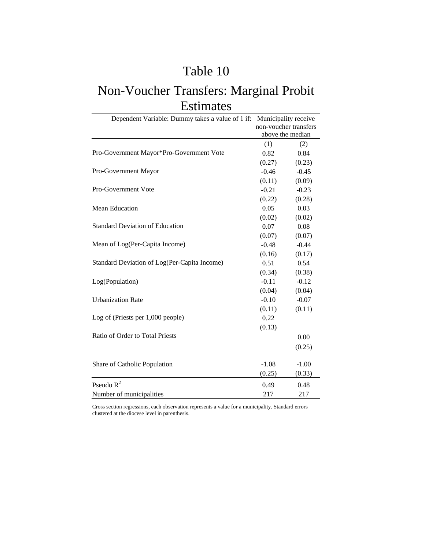## Non-Voucher Transfers: Marginal Probit Estimates

| Dependent Variable: Dummy takes a value of 1 if: | Municipality receive |                       |  |  |
|--------------------------------------------------|----------------------|-----------------------|--|--|
|                                                  |                      | non-voucher transfers |  |  |
|                                                  |                      | above the median      |  |  |
|                                                  | (1)                  | (2)                   |  |  |
| Pro-Government Mayor*Pro-Government Vote         | 0.82                 | 0.84                  |  |  |
|                                                  | (0.27)               | (0.23)                |  |  |
| Pro-Government Mayor                             | $-0.46$              | $-0.45$               |  |  |
|                                                  | (0.11)               | (0.09)                |  |  |
| Pro-Government Vote                              | $-0.21$              | $-0.23$               |  |  |
|                                                  | (0.22)               | (0.28)                |  |  |
| <b>Mean Education</b>                            | 0.05                 | 0.03                  |  |  |
|                                                  | (0.02)               | (0.02)                |  |  |
| <b>Standard Deviation of Education</b>           | 0.07                 | 0.08                  |  |  |
|                                                  | (0.07)               | (0.07)                |  |  |
| Mean of Log(Per-Capita Income)                   | $-0.48$              | $-0.44$               |  |  |
|                                                  | (0.16)               | (0.17)                |  |  |
| Standard Deviation of Log(Per-Capita Income)     | 0.51                 | 0.54                  |  |  |
|                                                  | (0.34)               | (0.38)                |  |  |
| Log(Population)                                  | $-0.11$              | $-0.12$               |  |  |
|                                                  | (0.04)               | (0.04)                |  |  |
| <b>Urbanization Rate</b>                         | $-0.10$              | $-0.07$               |  |  |
|                                                  | (0.11)               | (0.11)                |  |  |
| Log of (Priests per $1,000$ people)              | 0.22                 |                       |  |  |
|                                                  | (0.13)               |                       |  |  |
| Ratio of Order to Total Priests                  |                      | 0.00                  |  |  |
|                                                  |                      | (0.25)                |  |  |
| Share of Catholic Population                     | $-1.08$              | $-1.00$               |  |  |
|                                                  | (0.25)               | (0.33)                |  |  |
| Pseudo $R^2$                                     | 0.49                 | 0.48                  |  |  |
| Number of municipalities                         | 217                  | 217                   |  |  |

Cross section regressions, each observation represents a value for a municipality. Standard errors clustered at the diocese level in parenthesis.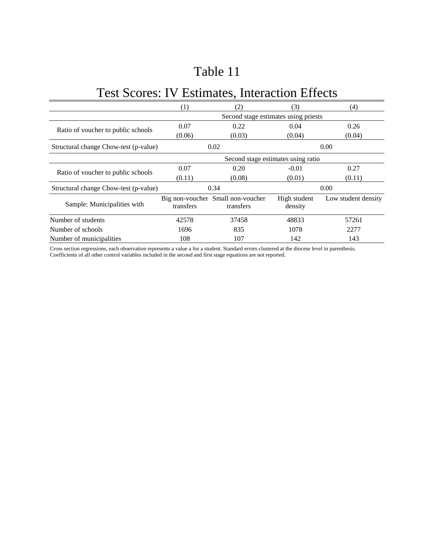# Test Scores: IV Estimates, Interaction Effects

|                                       | (1)                                | (2)                                            | (3)                     | (4)                 |  |  |  |
|---------------------------------------|------------------------------------|------------------------------------------------|-------------------------|---------------------|--|--|--|
|                                       |                                    | Second stage estimates using priests           |                         |                     |  |  |  |
|                                       | 0.07                               | 0.22                                           | 0.04                    | 0.26                |  |  |  |
| Ratio of voucher to public schools    | (0.06)                             | (0.03)                                         | (0.04)                  | (0.04)              |  |  |  |
| Structural change Chow-test (p-value) |                                    | 0.02                                           |                         | 0.00                |  |  |  |
|                                       | Second stage estimates using ratio |                                                |                         |                     |  |  |  |
| Ratio of voucher to public schools    | 0.07                               | 0.20                                           | $-0.01$                 | 0.27                |  |  |  |
|                                       | (0.11)                             | (0.08)                                         | (0.01)                  | (0.11)              |  |  |  |
| Structural change Chow-test (p-value) |                                    | 0.34                                           |                         | 0.00                |  |  |  |
| Sample: Municipalities with           | transfers                          | Big non-voucher Small non-voucher<br>transfers | High student<br>density | Low student density |  |  |  |
| Number of students                    | 42578                              | 37458                                          | 48833                   | 57261               |  |  |  |
| Number of schools                     | 1696                               | 835                                            | 1078                    | 2277                |  |  |  |
| Number of municipalities              | 108                                | 107                                            | 142                     | 143                 |  |  |  |

Cross section regressions, each observation represents a value a for a student. Standard errors clustered at the diocese level in parenthesis. Coefficients of all other control variables included in the second and first stage equations are not reported.